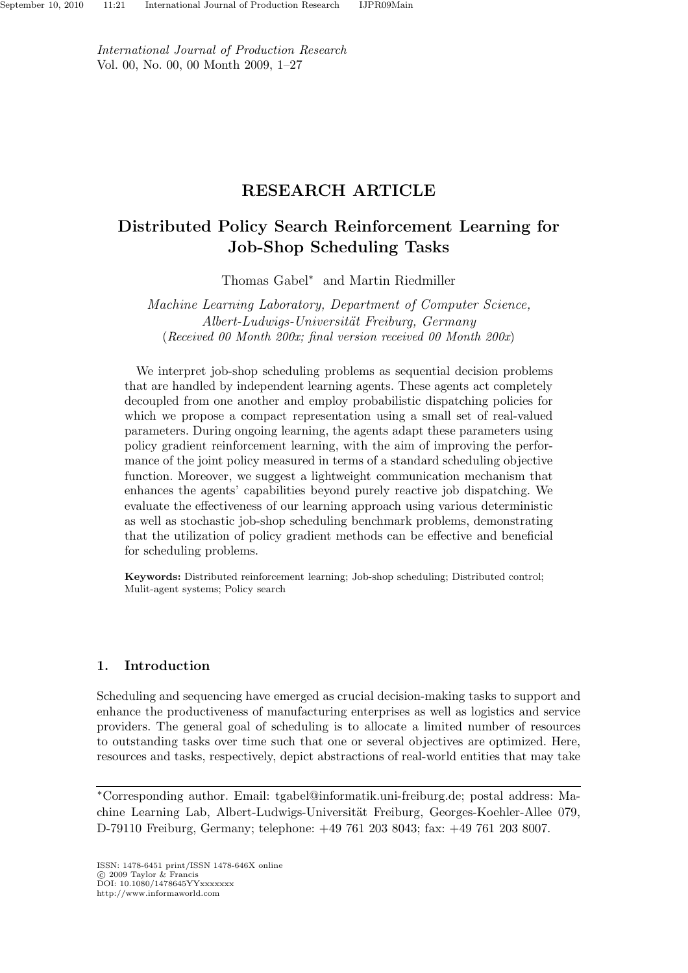*International Journal of Production Research* Vol. 00, No. 00, 00 Month 2009, 1–27

# RESEARCH ARTICLE

# Distributed Policy Search Reinforcement Learning for Job-Shop Scheduling Tasks

Thomas Gabel<sup>∗</sup> and Martin Riedmiller

*Machine Learning Laboratory, Department of Computer Science, Albert-Ludwigs-Universit¨at Freiburg, Germany* (*Received 00 Month 200x; final version received 00 Month 200x*)

We interpret job-shop scheduling problems as sequential decision problems that are handled by independent learning agents. These agents act completely decoupled from one another and employ probabilistic dispatching policies for which we propose a compact representation using a small set of real-valued parameters. During ongoing learning, the agents adapt these parameters using policy gradient reinforcement learning, with the aim of improving the performance of the joint policy measured in terms of a standard scheduling objective function. Moreover, we suggest a lightweight communication mechanism that enhances the agents' capabilities beyond purely reactive job dispatching. We evaluate the effectiveness of our learning approach using various deterministic as well as stochastic job-shop scheduling benchmark problems, demonstrating that the utilization of policy gradient methods can be effective and beneficial for scheduling problems.

Keywords: Distributed reinforcement learning; Job-shop scheduling; Distributed control; Mulit-agent systems; Policy search

# 1. Introduction

Scheduling and sequencing have emerged as crucial decision-making tasks to support and enhance the productiveness of manufacturing enterprises as well as logistics and service providers. The general goal of scheduling is to allocate a limited number of resources to outstanding tasks over time such that one or several objectives are optimized. Here, resources and tasks, respectively, depict abstractions of real-world entities that may take

<sup>∗</sup>Corresponding author. Email: tgabel@informatik.uni-freiburg.de; postal address: Machine Learning Lab, Albert-Ludwigs-Universität Freiburg, Georges-Koehler-Allee 079, D-79110 Freiburg, Germany; telephone: +49 761 203 8043; fax: +49 761 203 8007.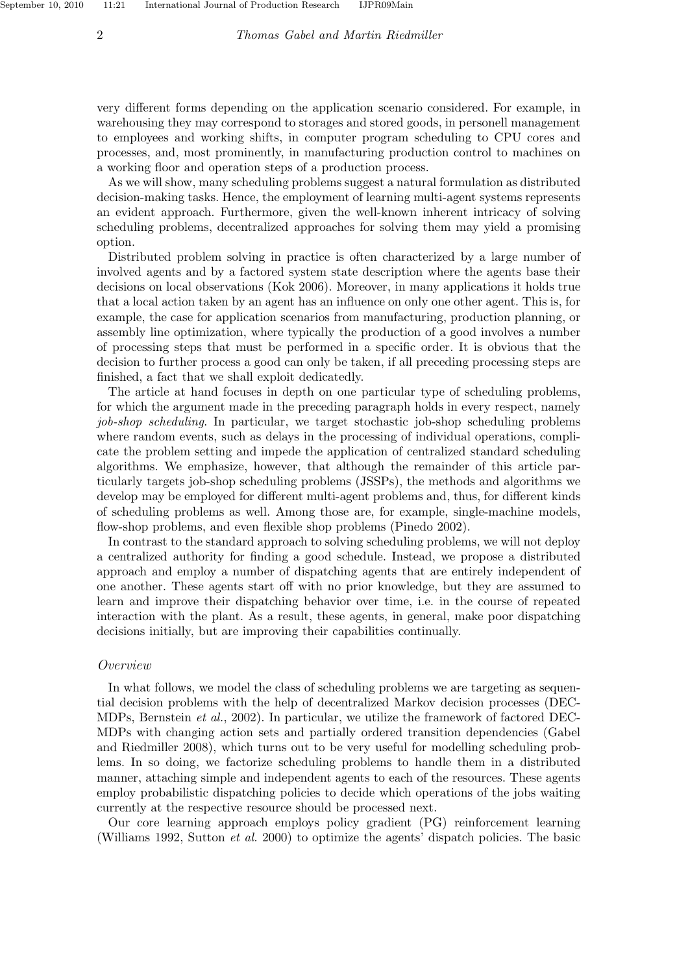very different forms depending on the application scenario considered. For example, in warehousing they may correspond to storages and stored goods, in personell management to employees and working shifts, in computer program scheduling to CPU cores and processes, and, most prominently, in manufacturing production control to machines on a working floor and operation steps of a production process.

As we will show, many scheduling problems suggest a natural formulation as distributed decision-making tasks. Hence, the employment of learning multi-agent systems represents an evident approach. Furthermore, given the well-known inherent intricacy of solving scheduling problems, decentralized approaches for solving them may yield a promising option.

Distributed problem solving in practice is often characterized by a large number of involved agents and by a factored system state description where the agents base their decisions on local observations (Kok 2006). Moreover, in many applications it holds true that a local action taken by an agent has an influence on only one other agent. This is, for example, the case for application scenarios from manufacturing, production planning, or assembly line optimization, where typically the production of a good involves a number of processing steps that must be performed in a specific order. It is obvious that the decision to further process a good can only be taken, if all preceding processing steps are finished, a fact that we shall exploit dedicatedly.

The article at hand focuses in depth on one particular type of scheduling problems, for which the argument made in the preceding paragraph holds in every respect, namely *job-shop scheduling*. In particular, we target stochastic job-shop scheduling problems where random events, such as delays in the processing of individual operations, complicate the problem setting and impede the application of centralized standard scheduling algorithms. We emphasize, however, that although the remainder of this article particularly targets job-shop scheduling problems (JSSPs), the methods and algorithms we develop may be employed for different multi-agent problems and, thus, for different kinds of scheduling problems as well. Among those are, for example, single-machine models, flow-shop problems, and even flexible shop problems (Pinedo 2002).

In contrast to the standard approach to solving scheduling problems, we will not deploy a centralized authority for finding a good schedule. Instead, we propose a distributed approach and employ a number of dispatching agents that are entirely independent of one another. These agents start off with no prior knowledge, but they are assumed to learn and improve their dispatching behavior over time, i.e. in the course of repeated interaction with the plant. As a result, these agents, in general, make poor dispatching decisions initially, but are improving their capabilities continually.

#### *Overview*

In what follows, we model the class of scheduling problems we are targeting as sequential decision problems with the help of decentralized Markov decision processes (DEC-MDPs, Bernstein *et al.*, 2002). In particular, we utilize the framework of factored DEC-MDPs with changing action sets and partially ordered transition dependencies (Gabel and Riedmiller 2008), which turns out to be very useful for modelling scheduling problems. In so doing, we factorize scheduling problems to handle them in a distributed manner, attaching simple and independent agents to each of the resources. These agents employ probabilistic dispatching policies to decide which operations of the jobs waiting currently at the respective resource should be processed next.

Our core learning approach employs policy gradient (PG) reinforcement learning (Williams 1992, Sutton *et al.* 2000) to optimize the agents' dispatch policies. The basic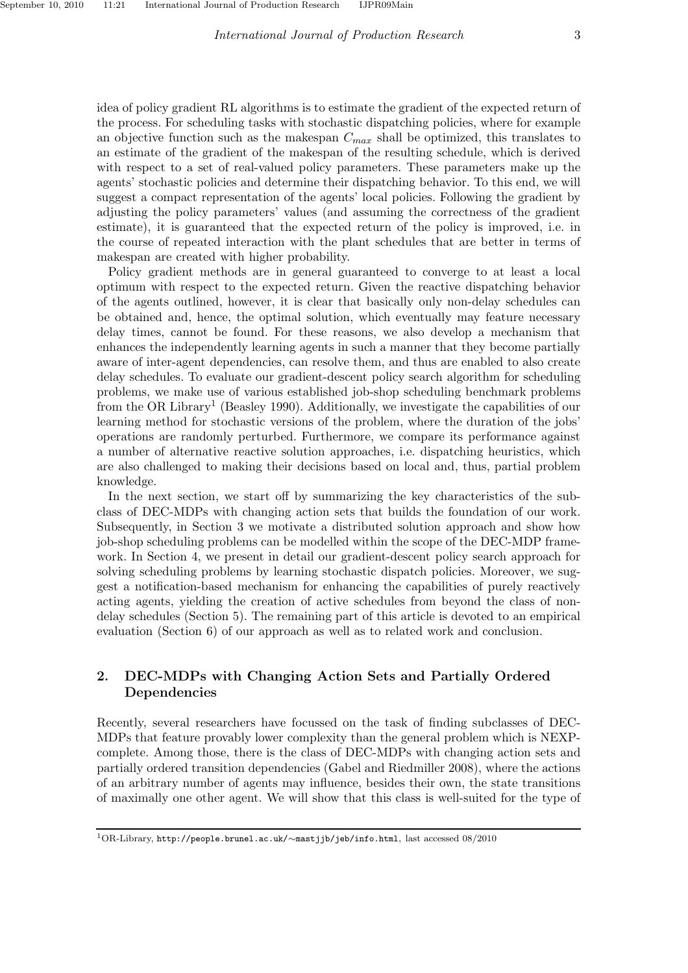idea of policy gradient RL algorithms is to estimate the gradient of the expected return of the process. For scheduling tasks with stochastic dispatching policies, where for example an objective function such as the makespan  $C_{max}$  shall be optimized, this translates to an estimate of the gradient of the makespan of the resulting schedule, which is derived with respect to a set of real-valued policy parameters. These parameters make up the agents' stochastic policies and determine their dispatching behavior. To this end, we will suggest a compact representation of the agents' local policies. Following the gradient by adjusting the policy parameters' values (and assuming the correctness of the gradient estimate), it is guaranteed that the expected return of the policy is improved, i.e. in the course of repeated interaction with the plant schedules that are better in terms of makespan are created with higher probability.

Policy gradient methods are in general guaranteed to converge to at least a local optimum with respect to the expected return. Given the reactive dispatching behavior of the agents outlined, however, it is clear that basically only non-delay schedules can be obtained and, hence, the optimal solution, which eventually may feature necessary delay times, cannot be found. For these reasons, we also develop a mechanism that enhances the independently learning agents in such a manner that they become partially aware of inter-agent dependencies, can resolve them, and thus are enabled to also create delay schedules. To evaluate our gradient-descent policy search algorithm for scheduling problems, we make use of various established job-shop scheduling benchmark problems from the OR Library<sup>1</sup> (Beasley 1990). Additionally, we investigate the capabilities of our learning method for stochastic versions of the problem, where the duration of the jobs' operations are randomly perturbed. Furthermore, we compare its performance against a number of alternative reactive solution approaches, i.e. dispatching heuristics, which are also challenged to making their decisions based on local and, thus, partial problem knowledge.

In the next section, we start off by summarizing the key characteristics of the subclass of DEC-MDPs with changing action sets that builds the foundation of our work. Subsequently, in Section 3 we motivate a distributed solution approach and show how job-shop scheduling problems can be modelled within the scope of the DEC-MDP framework. In Section 4, we present in detail our gradient-descent policy search approach for solving scheduling problems by learning stochastic dispatch policies. Moreover, we suggest a notification-based mechanism for enhancing the capabilities of purely reactively acting agents, yielding the creation of active schedules from beyond the class of nondelay schedules (Section 5). The remaining part of this article is devoted to an empirical evaluation (Section 6) of our approach as well as to related work and conclusion.

# 2. DEC-MDPs with Changing Action Sets and Partially Ordered Dependencies

Recently, several researchers have focussed on the task of finding subclasses of DEC-MDPs that feature provably lower complexity than the general problem which is NEXPcomplete. Among those, there is the class of DEC-MDPs with changing action sets and partially ordered transition dependencies (Gabel and Riedmiller 2008), where the actions of an arbitrary number of agents may influence, besides their own, the state transitions of maximally one other agent. We will show that this class is well-suited for the type of

<sup>1</sup>OR-Library, http://people.brunel.ac.uk/∼mastjjb/jeb/info.html, last accessed 08/2010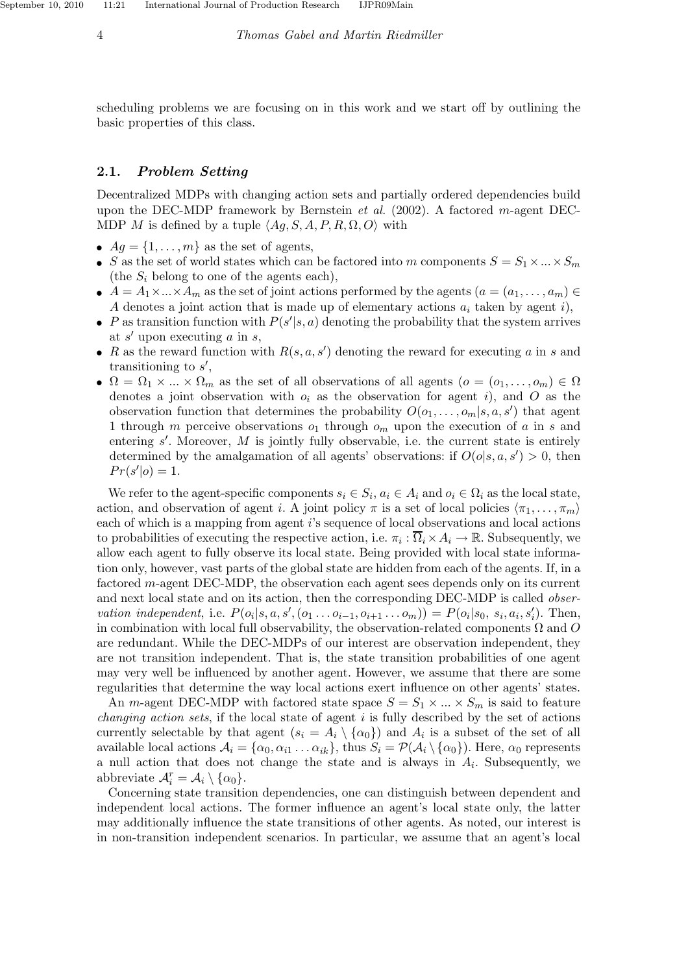4 *Thomas Gabel and Martin Riedmiller*

scheduling problems we are focusing on in this work and we start off by outlining the basic properties of this class.

## 2.1. Problem Setting

Decentralized MDPs with changing action sets and partially ordered dependencies build upon the DEC-MDP framework by Bernstein *et al.* (2002). A factored m-agent DEC-MDP M is defined by a tuple  $\langle Ag, S, A, P, R, \Omega, O \rangle$  with

- $Aq = \{1, \ldots, m\}$  as the set of agents,
- S as the set of world states which can be factored into m components  $S = S_1 \times ... \times S_m$ (the  $S_i$  belong to one of the agents each),
- $A = A_1 \times ... \times A_m$  as the set of joint actions performed by the agents  $(a = (a_1, ..., a_m) \in A_m)$ A denotes a joint action that is made up of elementary actions  $a_i$  taken by agent i),
- P as transition function with  $P(s'|s, a)$  denoting the probability that the system arrives at  $s'$  upon executing  $a$  in  $s$ ,
- R as the reward function with  $R(s, a, s')$  denoting the reward for executing a in s and transitioning to  $s'$ ,
- $\Omega = \Omega_1 \times ... \times \Omega_m$  as the set of all observations of all agents  $(o = (o_1, ..., o_m) \in \Omega$ denotes a joint observation with  $o_i$  as the observation for agent i), and O as the observation function that determines the probability  $O(o_1, \ldots, o_m|s, a, s')$  that agent 1 through m perceive observations  $o_1$  through  $o_m$  upon the execution of a in s and entering  $s'$ . Moreover,  $M$  is jointly fully observable, i.e. the current state is entirely determined by the amalgamation of all agents' observations: if  $O(o|s, a, s') > 0$ , then  $Pr(s'|o) = 1.$

We refer to the agent-specific components  $s_i \in S_i$ ,  $a_i \in A_i$  and  $o_i \in \Omega_i$  as the local state, action, and observation of agent i. A joint policy  $\pi$  is a set of local policies  $\langle \pi_1, \ldots, \pi_m \rangle$ each of which is a mapping from agent i's sequence of local observations and local actions to probabilities of executing the respective action, i.e.  $\pi_i : \Omega_i \times A_i \to \mathbb{R}$ . Subsequently, we allow each agent to fully observe its local state. Being provided with local state information only, however, vast parts of the global state are hidden from each of the agents. If, in a factored m-agent DEC-MDP, the observation each agent sees depends only on its current and next local state and on its action, then the corresponding DEC-MDP is called *observation independent*, i.e.  $P(o_i|s, a, s', (o_1 \ldots o_{i-1}, o_{i+1} \ldots o_m)) = P(o_i|s_0, s_i, a_i, s'_i)$ . Then, in combination with local full observability, the observation-related components  $\Omega$  and  $\overline{O}$ are redundant. While the DEC-MDPs of our interest are observation independent, they are not transition independent. That is, the state transition probabilities of one agent may very well be influenced by another agent. However, we assume that there are some regularities that determine the way local actions exert influence on other agents' states.

An *m*-agent DEC-MDP with factored state space  $S = S_1 \times ... \times S_m$  is said to feature *changing action sets*, if the local state of agent i is fully described by the set of actions currently selectable by that agent  $(s_i = A_i \setminus \{ \alpha_0 \})$  and  $A_i$  is a subset of the set of all available local actions  $A_i = {\alpha_0, \alpha_{i1} \dots \alpha_{ik}}$ , thus  $S_i = \mathcal{P}(A_i \setminus {\alpha_0})$ . Here,  $\alpha_0$  represents a null action that does not change the state and is always in  $A_i$ . Subsequently, we abbreviate  $\mathcal{A}_i^r = \mathcal{A}_i \setminus \{\alpha_0\}.$ 

Concerning state transition dependencies, one can distinguish between dependent and independent local actions. The former influence an agent's local state only, the latter may additionally influence the state transitions of other agents. As noted, our interest is in non-transition independent scenarios. In particular, we assume that an agent's local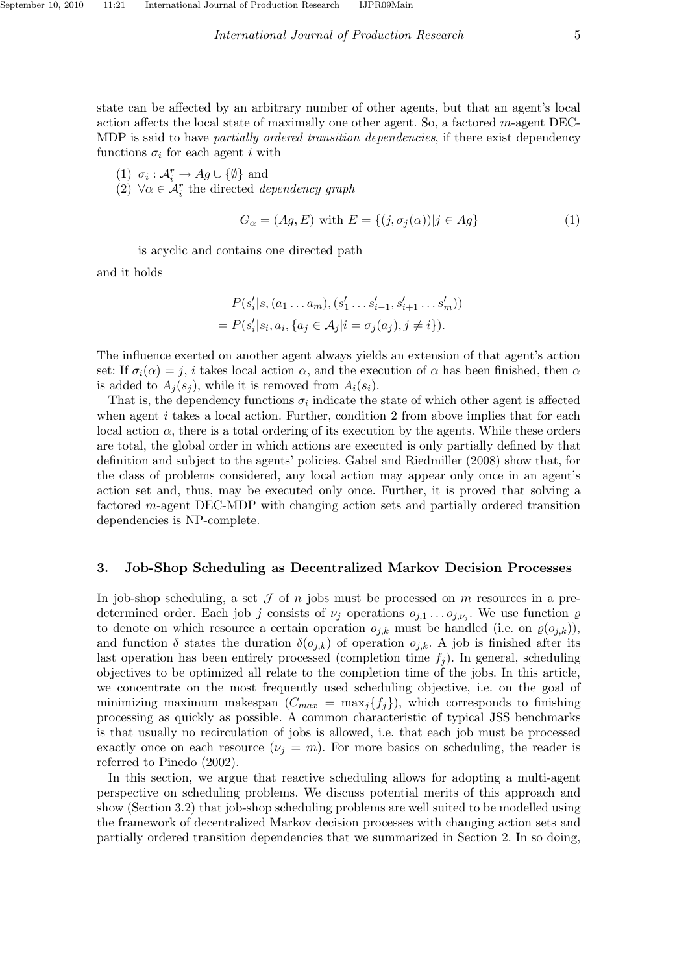state can be affected by an arbitrary number of other agents, but that an agent's local action affects the local state of maximally one other agent. So, a factored  $m$ -agent DEC-MDP is said to have *partially ordered transition dependencies*, if there exist dependency functions  $\sigma_i$  for each agent *i* with

(1)  $\sigma_i : \mathcal{A}_i^r \to Ag \cup \{\emptyset\}$  and

(2)  $\forall \alpha \in \mathcal{A}_i^r$  the directed *dependency graph* 

$$
G_{\alpha} = (Ag, E) \text{ with } E = \{ (j, \sigma_j(\alpha)) | j \in Ag \}
$$
 (1)

is acyclic and contains one directed path

and it holds

$$
P(s'_{i}|s, (a_{1}...a_{m}), (s'_{1}...s'_{i-1}, s'_{i+1}...s'_{m}))
$$
  
=  $P(s'_{i}|s_{i}, a_{i}, \{a_{j} \in A_{j}|i = \sigma_{j}(a_{j}), j \neq i\}).$ 

The influence exerted on another agent always yields an extension of that agent's action set: If  $\sigma_i(\alpha) = j$ , i takes local action  $\alpha$ , and the execution of  $\alpha$  has been finished, then  $\alpha$ is added to  $A_i(s_i)$ , while it is removed from  $A_i(s_i)$ .

That is, the dependency functions  $\sigma_i$  indicate the state of which other agent is affected when agent  $i$  takes a local action. Further, condition 2 from above implies that for each local action  $\alpha$ , there is a total ordering of its execution by the agents. While these orders are total, the global order in which actions are executed is only partially defined by that definition and subject to the agents' policies. Gabel and Riedmiller (2008) show that, for the class of problems considered, any local action may appear only once in an agent's action set and, thus, may be executed only once. Further, it is proved that solving a factored m-agent DEC-MDP with changing action sets and partially ordered transition dependencies is NP-complete.

# 3. Job-Shop Scheduling as Decentralized Markov Decision Processes

In job-shop scheduling, a set  $\mathcal J$  of n jobs must be processed on m resources in a predetermined order. Each job j consists of  $\nu_j$  operations  $o_{j,1} \ldots o_{j,\nu_j}$ . We use function  $\varrho$ to denote on which resource a certain operation  $o_{j,k}$  must be handled (i.e. on  $\varrho(o_{j,k})$ ), and function  $\delta$  states the duration  $\delta(o_{j,k})$  of operation  $o_{j,k}$ . A job is finished after its last operation has been entirely processed (completion time  $f_i$ ). In general, scheduling objectives to be optimized all relate to the completion time of the jobs. In this article, we concentrate on the most frequently used scheduling objective, i.e. on the goal of minimizing maximum makespan  $(C_{max} = \max_j \{f_j\})$ , which corresponds to finishing processing as quickly as possible. A common characteristic of typical JSS benchmarks is that usually no recirculation of jobs is allowed, i.e. that each job must be processed exactly once on each resource  $(\nu_j = m)$ . For more basics on scheduling, the reader is referred to Pinedo (2002).

In this section, we argue that reactive scheduling allows for adopting a multi-agent perspective on scheduling problems. We discuss potential merits of this approach and show (Section 3.2) that job-shop scheduling problems are well suited to be modelled using the framework of decentralized Markov decision processes with changing action sets and partially ordered transition dependencies that we summarized in Section 2. In so doing,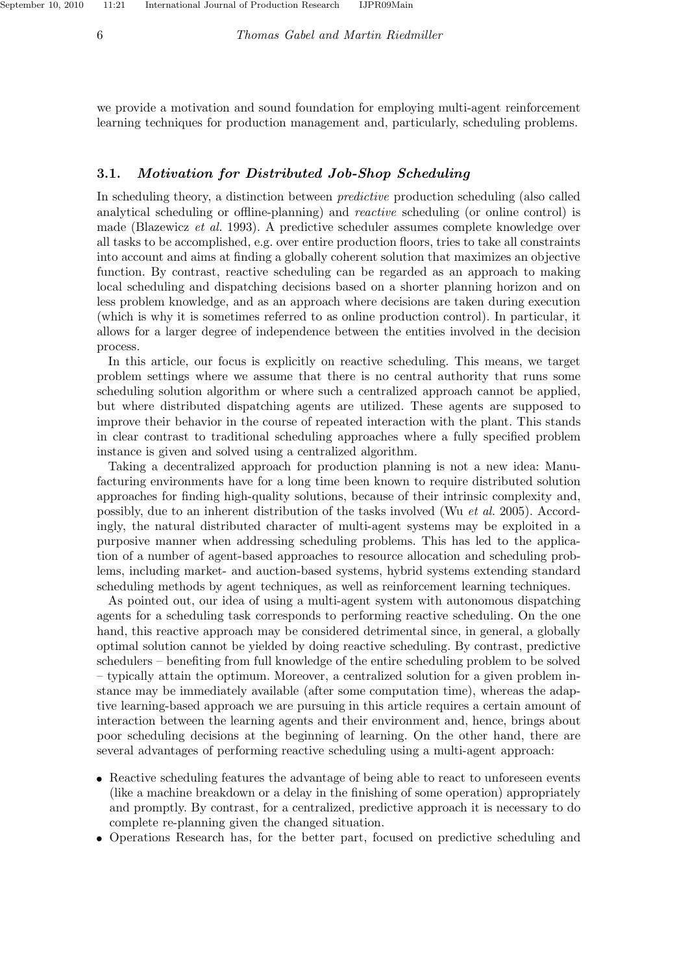6 *Thomas Gabel and Martin Riedmiller*

we provide a motivation and sound foundation for employing multi-agent reinforcement learning techniques for production management and, particularly, scheduling problems.

# 3.1. Motivation for Distributed Job-Shop Scheduling

In scheduling theory, a distinction between *predictive* production scheduling (also called analytical scheduling or offline-planning) and *reactive* scheduling (or online control) is made (Blazewicz *et al.* 1993). A predictive scheduler assumes complete knowledge over all tasks to be accomplished, e.g. over entire production floors, tries to take all constraints into account and aims at finding a globally coherent solution that maximizes an objective function. By contrast, reactive scheduling can be regarded as an approach to making local scheduling and dispatching decisions based on a shorter planning horizon and on less problem knowledge, and as an approach where decisions are taken during execution (which is why it is sometimes referred to as online production control). In particular, it allows for a larger degree of independence between the entities involved in the decision process.

In this article, our focus is explicitly on reactive scheduling. This means, we target problem settings where we assume that there is no central authority that runs some scheduling solution algorithm or where such a centralized approach cannot be applied, but where distributed dispatching agents are utilized. These agents are supposed to improve their behavior in the course of repeated interaction with the plant. This stands in clear contrast to traditional scheduling approaches where a fully specified problem instance is given and solved using a centralized algorithm.

Taking a decentralized approach for production planning is not a new idea: Manufacturing environments have for a long time been known to require distributed solution approaches for finding high-quality solutions, because of their intrinsic complexity and, possibly, due to an inherent distribution of the tasks involved (Wu *et al.* 2005). Accordingly, the natural distributed character of multi-agent systems may be exploited in a purposive manner when addressing scheduling problems. This has led to the application of a number of agent-based approaches to resource allocation and scheduling problems, including market- and auction-based systems, hybrid systems extending standard scheduling methods by agent techniques, as well as reinforcement learning techniques.

As pointed out, our idea of using a multi-agent system with autonomous dispatching agents for a scheduling task corresponds to performing reactive scheduling. On the one hand, this reactive approach may be considered detrimental since, in general, a globally optimal solution cannot be yielded by doing reactive scheduling. By contrast, predictive schedulers – benefiting from full knowledge of the entire scheduling problem to be solved – typically attain the optimum. Moreover, a centralized solution for a given problem instance may be immediately available (after some computation time), whereas the adaptive learning-based approach we are pursuing in this article requires a certain amount of interaction between the learning agents and their environment and, hence, brings about poor scheduling decisions at the beginning of learning. On the other hand, there are several advantages of performing reactive scheduling using a multi-agent approach:

- Reactive scheduling features the advantage of being able to react to unforeseen events (like a machine breakdown or a delay in the finishing of some operation) appropriately and promptly. By contrast, for a centralized, predictive approach it is necessary to do complete re-planning given the changed situation.
- Operations Research has, for the better part, focused on predictive scheduling and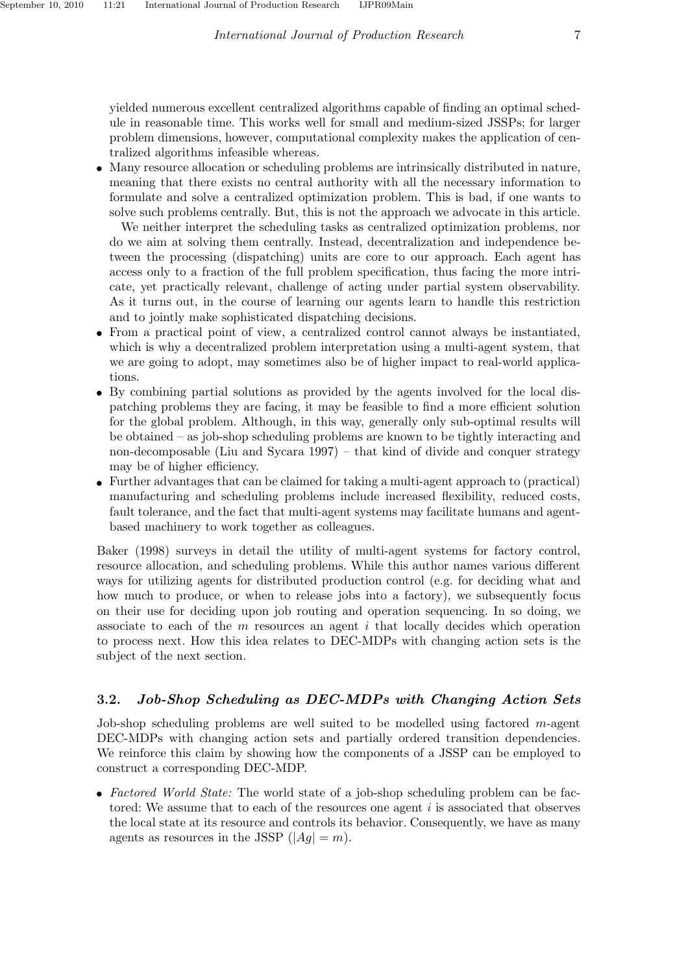yielded numerous excellent centralized algorithms capable of finding an optimal schedule in reasonable time. This works well for small and medium-sized JSSPs; for larger problem dimensions, however, computational complexity makes the application of centralized algorithms infeasible whereas.

• Many resource allocation or scheduling problems are intrinsically distributed in nature, meaning that there exists no central authority with all the necessary information to formulate and solve a centralized optimization problem. This is bad, if one wants to solve such problems centrally. But, this is not the approach we advocate in this article.

We neither interpret the scheduling tasks as centralized optimization problems, nor do we aim at solving them centrally. Instead, decentralization and independence between the processing (dispatching) units are core to our approach. Each agent has access only to a fraction of the full problem specification, thus facing the more intricate, yet practically relevant, challenge of acting under partial system observability. As it turns out, in the course of learning our agents learn to handle this restriction and to jointly make sophisticated dispatching decisions.

- From a practical point of view, a centralized control cannot always be instantiated, which is why a decentralized problem interpretation using a multi-agent system, that we are going to adopt, may sometimes also be of higher impact to real-world applications.
- By combining partial solutions as provided by the agents involved for the local dispatching problems they are facing, it may be feasible to find a more efficient solution for the global problem. Although, in this way, generally only sub-optimal results will be obtained – as job-shop scheduling problems are known to be tightly interacting and non-decomposable (Liu and Sycara 1997) – that kind of divide and conquer strategy may be of higher efficiency.
- Further advantages that can be claimed for taking a multi-agent approach to (practical) manufacturing and scheduling problems include increased flexibility, reduced costs, fault tolerance, and the fact that multi-agent systems may facilitate humans and agentbased machinery to work together as colleagues.

Baker (1998) surveys in detail the utility of multi-agent systems for factory control, resource allocation, and scheduling problems. While this author names various different ways for utilizing agents for distributed production control (e.g. for deciding what and how much to produce, or when to release jobs into a factory), we subsequently focus on their use for deciding upon job routing and operation sequencing. In so doing, we associate to each of the  $m$  resources an agent  $i$  that locally decides which operation to process next. How this idea relates to DEC-MDPs with changing action sets is the subject of the next section.

# 3.2. Job-Shop Scheduling as DEC-MDPs with Changing Action Sets

Job-shop scheduling problems are well suited to be modelled using factored m-agent DEC-MDPs with changing action sets and partially ordered transition dependencies. We reinforce this claim by showing how the components of a JSSP can be employed to construct a corresponding DEC-MDP.

• *Factored World State:* The world state of a job-shop scheduling problem can be factored: We assume that to each of the resources one agent  $i$  is associated that observes the local state at its resource and controls its behavior. Consequently, we have as many agents as resources in the JSSP  $(|Ag| = m)$ .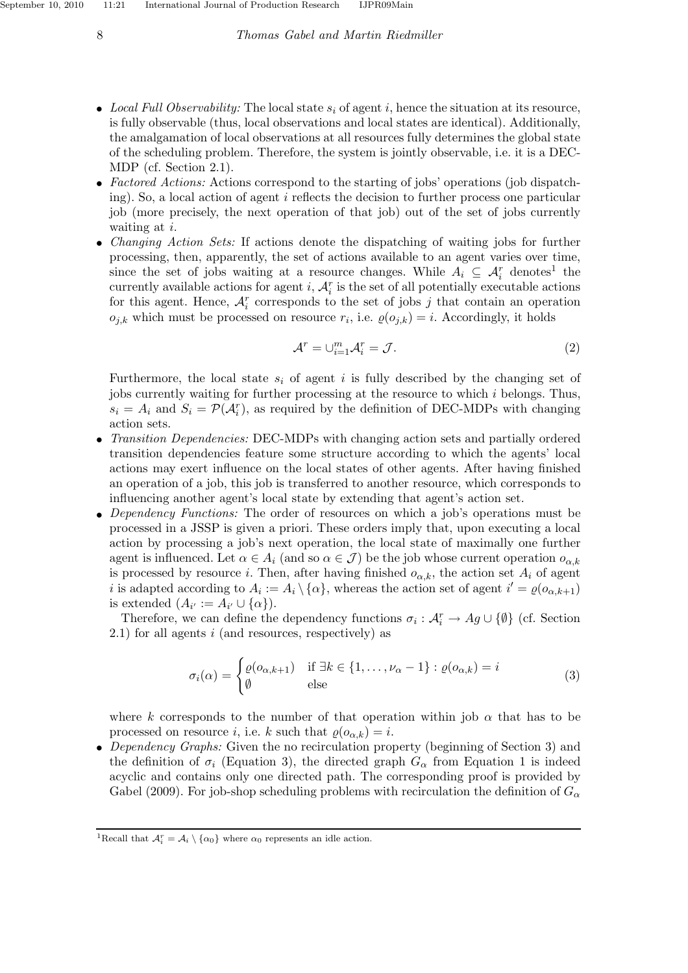#### 8 *Thomas Gabel and Martin Riedmiller*

- *Local Full Observability:* The local state  $s_i$  of agent i, hence the situation at its resource, is fully observable (thus, local observations and local states are identical). Additionally, the amalgamation of local observations at all resources fully determines the global state of the scheduling problem. Therefore, the system is jointly observable, i.e. it is a DEC-MDP (cf. Section 2.1).
- *Factored Actions:* Actions correspond to the starting of jobs' operations (job dispatching). So, a local action of agent i reflects the decision to further process one particular job (more precisely, the next operation of that job) out of the set of jobs currently waiting at *i*.
- *Changing Action Sets:* If actions denote the dispatching of waiting jobs for further processing, then, apparently, the set of actions available to an agent varies over time, since the set of jobs waiting at a resource changes. While  $A_i \subseteq \mathcal{A}_i^r$  denotes<sup>1</sup> the currently available actions for agent  $i$ ,  $\mathcal{A}_i^r$  is the set of all potentially executable actions for this agent. Hence,  $A_i^r$  corresponds to the set of jobs j that contain an operation  $o_{j,k}$  which must be processed on resource  $r_i$ , i.e.  $\varrho(o_{j,k}) = i$ . Accordingly, it holds

$$
\mathcal{A}^r = \cup_{i=1}^m \mathcal{A}_i^r = \mathcal{J}.
$$
 (2)

Furthermore, the local state  $s_i$  of agent i is fully described by the changing set of jobs currently waiting for further processing at the resource to which  $i$  belongs. Thus,  $s_i = A_i$  and  $S_i = \mathcal{P}(\mathcal{A}_i^r)$ , as required by the definition of DEC-MDPs with changing action sets.

- *Transition Dependencies:* DEC-MDPs with changing action sets and partially ordered transition dependencies feature some structure according to which the agents' local actions may exert influence on the local states of other agents. After having finished an operation of a job, this job is transferred to another resource, which corresponds to influencing another agent's local state by extending that agent's action set.
- *Dependency Functions:* The order of resources on which a job's operations must be processed in a JSSP is given a priori. These orders imply that, upon executing a local action by processing a job's next operation, the local state of maximally one further agent is influenced. Let  $\alpha \in A_i$  (and so  $\alpha \in \mathcal{J}$ ) be the job whose current operation  $o_{\alpha,k}$ is processed by resource i. Then, after having finished  $o_{\alpha,k}$ , the action set  $A_i$  of agent i is adapted according to  $A_i := A_i \setminus \{\alpha\}$ , whereas the action set of agent  $i' = \varrho(o_{\alpha,k+1})$ is extended  $(A_{i'} := A_{i'} \cup \{\alpha\}).$

Therefore, we can define the dependency functions  $\sigma_i: \mathcal{A}_i^r \to Ag \cup \{\emptyset\}$  (cf. Section  $2.1$ ) for all agents i (and resources, respectively) as

$$
\sigma_i(\alpha) = \begin{cases} \varrho(o_{\alpha,k+1}) & \text{if } \exists k \in \{1, \dots, \nu_\alpha - 1\} : \varrho(o_{\alpha,k}) = i \\ \emptyset & \text{else} \end{cases}
$$
(3)

where k corresponds to the number of that operation within job  $\alpha$  that has to be processed on resource i, i.e. k such that  $\varrho(o_{\alpha,k}) = i$ .

• *Dependency Graphs:* Given the no recirculation property (beginning of Section 3) and the definition of  $\sigma_i$  (Equation 3), the directed graph  $G_\alpha$  from Equation 1 is indeed acyclic and contains only one directed path. The corresponding proof is provided by Gabel (2009). For job-shop scheduling problems with recirculation the definition of  $G_{\alpha}$ 

<sup>&</sup>lt;sup>1</sup>Recall that  $A_i^r = A_i \setminus {\alpha_0}$  where  $\alpha_0$  represents an idle action.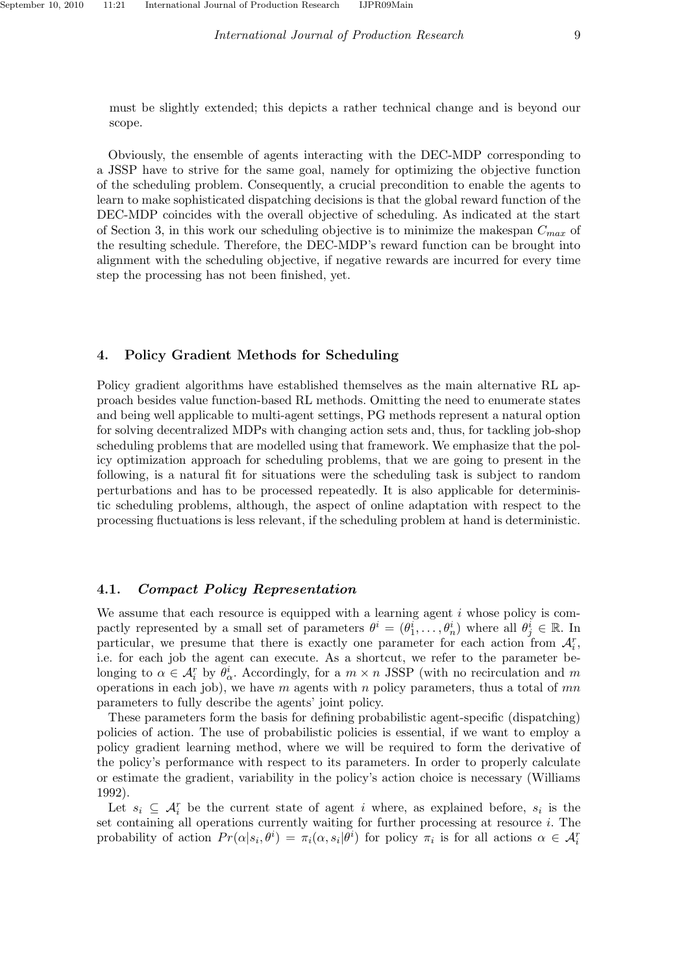must be slightly extended; this depicts a rather technical change and is beyond our scope.

Obviously, the ensemble of agents interacting with the DEC-MDP corresponding to a JSSP have to strive for the same goal, namely for optimizing the objective function of the scheduling problem. Consequently, a crucial precondition to enable the agents to learn to make sophisticated dispatching decisions is that the global reward function of the DEC-MDP coincides with the overall objective of scheduling. As indicated at the start of Section 3, in this work our scheduling objective is to minimize the makespan  $C_{max}$  of the resulting schedule. Therefore, the DEC-MDP's reward function can be brought into alignment with the scheduling objective, if negative rewards are incurred for every time step the processing has not been finished, yet.

### 4. Policy Gradient Methods for Scheduling

Policy gradient algorithms have established themselves as the main alternative RL approach besides value function-based RL methods. Omitting the need to enumerate states and being well applicable to multi-agent settings, PG methods represent a natural option for solving decentralized MDPs with changing action sets and, thus, for tackling job-shop scheduling problems that are modelled using that framework. We emphasize that the policy optimization approach for scheduling problems, that we are going to present in the following, is a natural fit for situations were the scheduling task is subject to random perturbations and has to be processed repeatedly. It is also applicable for deterministic scheduling problems, although, the aspect of online adaptation with respect to the processing fluctuations is less relevant, if the scheduling problem at hand is deterministic.

# 4.1. Compact Policy Representation

We assume that each resource is equipped with a learning agent  $i$  whose policy is compactly represented by a small set of parameters  $\theta^i = (\theta_1^i, \dots, \theta_n^i)$  where all  $\theta_j^i \in \mathbb{R}$ . In particular, we presume that there is exactly one parameter for each action from  $\mathcal{A}_i^r$ , i.e. for each job the agent can execute. As a shortcut, we refer to the parameter belonging to  $\alpha \in A_i^r$  by  $\theta_{\alpha}^i$ . Accordingly, for a  $m \times n$  JSSP (with no recirculation and m operations in each job), we have  $m$  agents with  $n$  policy parameters, thus a total of  $mn$ parameters to fully describe the agents' joint policy.

These parameters form the basis for defining probabilistic agent-specific (dispatching) policies of action. The use of probabilistic policies is essential, if we want to employ a policy gradient learning method, where we will be required to form the derivative of the policy's performance with respect to its parameters. In order to properly calculate or estimate the gradient, variability in the policy's action choice is necessary (Williams 1992).

Let  $s_i \subseteq \mathcal{A}_i^r$  be the current state of agent i where, as explained before,  $s_i$  is the set containing all operations currently waiting for further processing at resource i. The probability of action  $Pr(\alpha|s_i, \theta^i) = \pi_i(\alpha, s_i | \theta^i)$  for policy  $\pi_i$  is for all actions  $\alpha \in \mathcal{A}_i^r$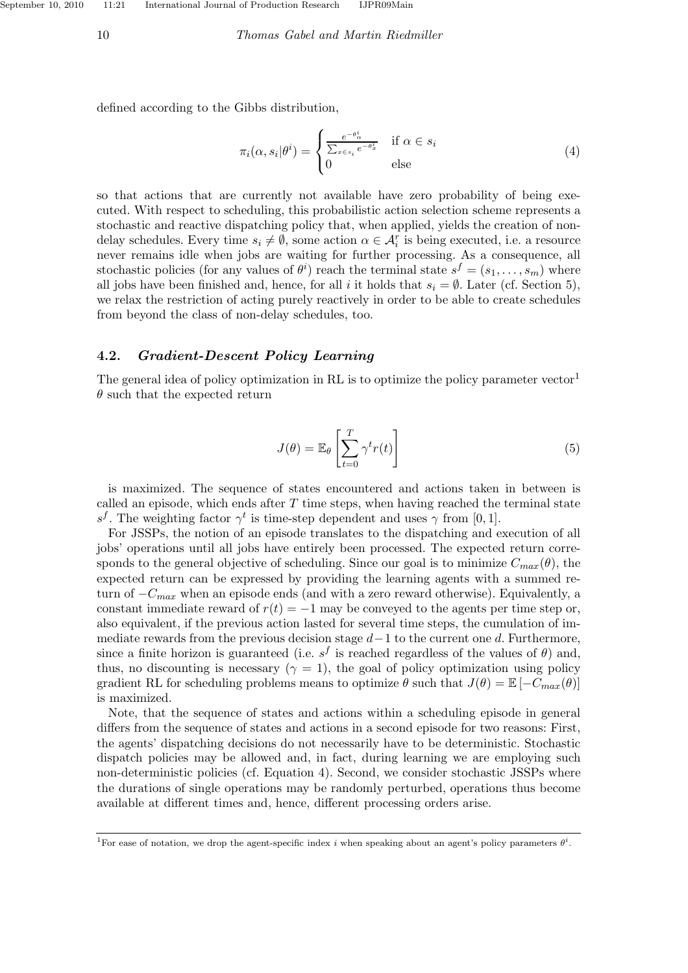#### 10 *Thomas Gabel and Martin Riedmiller*

defined according to the Gibbs distribution,

$$
\pi_i(\alpha, s_i | \theta^i) = \begin{cases} \frac{e^{-\theta^i_{\alpha}}}{\sum_{x \in s_i} e^{-\theta^i_x}} & \text{if } \alpha \in s_i \\ 0 & \text{else} \end{cases}
$$
 (4)

so that actions that are currently not available have zero probability of being executed. With respect to scheduling, this probabilistic action selection scheme represents a stochastic and reactive dispatching policy that, when applied, yields the creation of nondelay schedules. Every time  $s_i \neq \emptyset$ , some action  $\alpha \in \mathcal{A}_i^r$  is being executed, i.e. a resource never remains idle when jobs are waiting for further processing. As a consequence, all stochastic policies (for any values of  $\theta^i$ ) reach the terminal state  $s^f = (s_1, \ldots, s_m)$  where all jobs have been finished and, hence, for all i it holds that  $s_i = \emptyset$ . Later (cf. Section 5), we relax the restriction of acting purely reactively in order to be able to create schedules from beyond the class of non-delay schedules, too.

### 4.2. Gradient-Descent Policy Learning

The general idea of policy optimization in RL is to optimize the policy parameter vector<sup>1</sup>  $\theta$  such that the expected return

$$
J(\theta) = \mathbb{E}_{\theta} \left[ \sum_{t=0}^{T} \gamma^t r(t) \right]
$$
 (5)

is maximized. The sequence of states encountered and actions taken in between is called an episode, which ends after  $T$  time steps, when having reached the terminal state s<sup>f</sup>. The weighting factor  $\gamma^t$  is time-step dependent and uses  $\gamma$  from [0, 1].

For JSSPs, the notion of an episode translates to the dispatching and execution of all jobs' operations until all jobs have entirely been processed. The expected return corresponds to the general objective of scheduling. Since our goal is to minimize  $C_{max}(\theta)$ , the expected return can be expressed by providing the learning agents with a summed return of  $-C_{max}$  when an episode ends (and with a zero reward otherwise). Equivalently, a constant immediate reward of  $r(t) = -1$  may be conveyed to the agents per time step or, also equivalent, if the previous action lasted for several time steps, the cumulation of immediate rewards from the previous decision stage  $d-1$  to the current one d. Furthermore, since a finite horizon is guaranteed (i.e.  $s^f$  is reached regardless of the values of  $\theta$ ) and, thus, no discounting is necessary  $(\gamma = 1)$ , the goal of policy optimization using policy gradient RL for scheduling problems means to optimize  $\theta$  such that  $J(\theta) = \mathbb{E} [-C_{max}(\theta)]$ is maximized.

Note, that the sequence of states and actions within a scheduling episode in general differs from the sequence of states and actions in a second episode for two reasons: First, the agents' dispatching decisions do not necessarily have to be deterministic. Stochastic dispatch policies may be allowed and, in fact, during learning we are employing such non-deterministic policies (cf. Equation 4). Second, we consider stochastic JSSPs where the durations of single operations may be randomly perturbed, operations thus become available at different times and, hence, different processing orders arise.

<sup>&</sup>lt;sup>1</sup>For ease of notation, we drop the agent-specific index i when speaking about an agent's policy parameters  $\theta^i$ .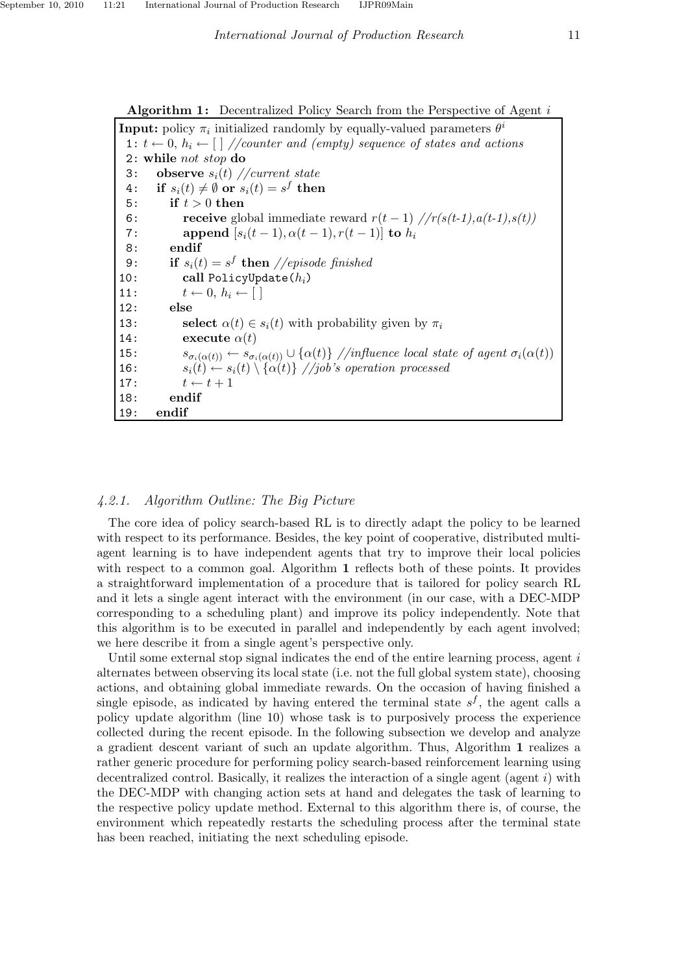Algorithm 1: Decentralized Policy Search from the Perspective of Agent  $i$ 

**Input:** policy  $\pi_i$  initialized randomly by equally-valued parameters  $\theta^i$ 1:  $t \leftarrow 0, h_i \leftarrow [\frac{1}{\coventer} \text{ and } \text{(empty)} \text{ sequence of states and actions}]$ 2: while not stop do 3: observe  $s_i(t)$  //current state  $4: \quad \textbf{if}~~ s_i(t) \neq \emptyset \textbf{ or } s_i(t) = s^f \textbf{ then }$ 5: if  $t > 0$  then 6: **receive** global immediate reward  $r(t-1)$  // $r(s(t-1), a(t-1), s(t))$ 7: append  $[s_i(t-1), \alpha(t-1), r(t-1)]$  to  $h_i$ 8: endif 9: **if**  $s_i(t) = s^f$  **then** //episode finished 10: call PolicyUpdate $(h_i)$ 11:  $t \leftarrow 0, h_i \leftarrow [$ 12: else 13: select  $\alpha(t) \in s_i(t)$  with probability given by  $\pi_i$ 14: execute  $\alpha(t)$ 15:  $s_{\sigma_i(\alpha(t))} \leftarrow s_{\sigma_i(\alpha(t))} \cup \{\alpha(t)\}$  //influence local state of agent  $\sigma_i(\alpha(t))$ 16:  $s_i(t) \leftarrow s_i(t) \setminus {\alpha(t)} / j\omega$ 's operation processed 17:  $t \leftarrow t + 1$ 18: endif 19: endif

# *4.2.1. Algorithm Outline: The Big Picture*

The core idea of policy search-based RL is to directly adapt the policy to be learned with respect to its performance. Besides, the key point of cooperative, distributed multiagent learning is to have independent agents that try to improve their local policies with respect to a common goal. Algorithm 1 reflects both of these points. It provides a straightforward implementation of a procedure that is tailored for policy search RL and it lets a single agent interact with the environment (in our case, with a DEC-MDP corresponding to a scheduling plant) and improve its policy independently. Note that this algorithm is to be executed in parallel and independently by each agent involved; we here describe it from a single agent's perspective only.

Until some external stop signal indicates the end of the entire learning process, agent  $i$ alternates between observing its local state (i.e. not the full global system state), choosing actions, and obtaining global immediate rewards. On the occasion of having finished a single episode, as indicated by having entered the terminal state  $s<sup>f</sup>$ , the agent calls a policy update algorithm (line 10) whose task is to purposively process the experience collected during the recent episode. In the following subsection we develop and analyze a gradient descent variant of such an update algorithm. Thus, Algorithm 1 realizes a rather generic procedure for performing policy search-based reinforcement learning using decentralized control. Basically, it realizes the interaction of a single agent (agent  $i$ ) with the DEC-MDP with changing action sets at hand and delegates the task of learning to the respective policy update method. External to this algorithm there is, of course, the environment which repeatedly restarts the scheduling process after the terminal state has been reached, initiating the next scheduling episode.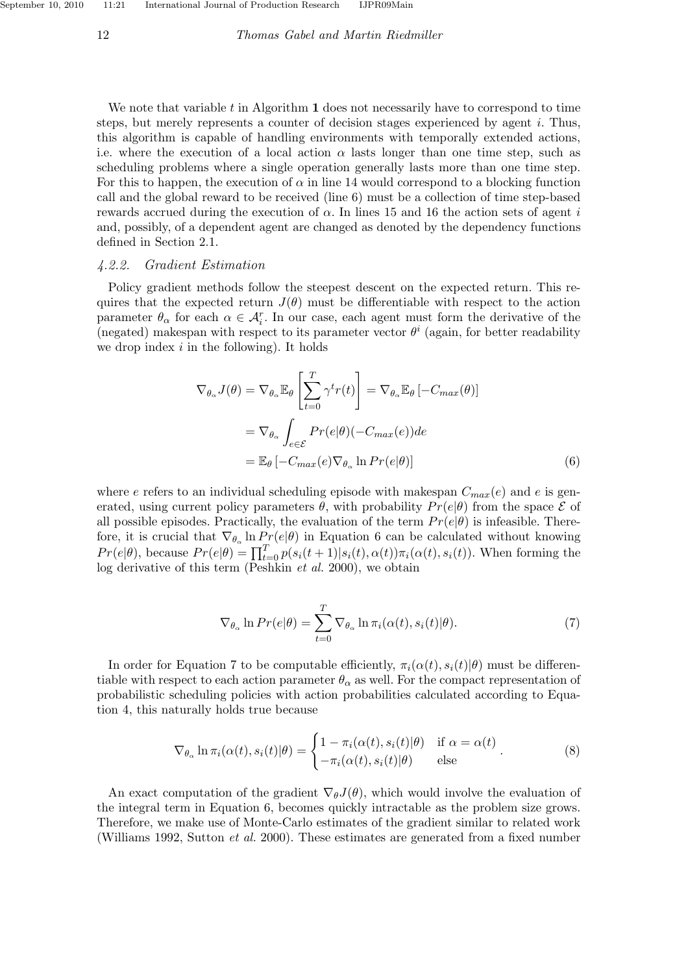12 *Thomas Gabel and Martin Riedmiller*

We note that variable  $t$  in Algorithm  $\bf{1}$  does not necessarily have to correspond to time steps, but merely represents a counter of decision stages experienced by agent  $i$ . Thus, this algorithm is capable of handling environments with temporally extended actions, i.e. where the execution of a local action  $\alpha$  lasts longer than one time step, such as scheduling problems where a single operation generally lasts more than one time step. For this to happen, the execution of  $\alpha$  in line 14 would correspond to a blocking function call and the global reward to be received (line 6) must be a collection of time step-based rewards accrued during the execution of  $\alpha$ . In lines 15 and 16 the action sets of agent i and, possibly, of a dependent agent are changed as denoted by the dependency functions defined in Section 2.1.

#### *4.2.2. Gradient Estimation*

Policy gradient methods follow the steepest descent on the expected return. This requires that the expected return  $J(\theta)$  must be differentiable with respect to the action parameter  $\theta_{\alpha}$  for each  $\alpha \in \mathcal{A}_{i}^{r}$ . In our case, each agent must form the derivative of the (negated) makespan with respect to its parameter vector  $\theta^i$  (again, for better readability we drop index  $i$  in the following). It holds

$$
\nabla_{\theta_{\alpha}} J(\theta) = \nabla_{\theta_{\alpha}} \mathbb{E}_{\theta} \left[ \sum_{t=0}^{T} \gamma^{t} r(t) \right] = \nabla_{\theta_{\alpha}} \mathbb{E}_{\theta} \left[ -C_{max}(\theta) \right]
$$

$$
= \nabla_{\theta_{\alpha}} \int_{e \in \mathcal{E}} Pr(e|\theta) (-C_{max}(e)) de
$$

$$
= \mathbb{E}_{\theta} \left[ -C_{max}(e) \nabla_{\theta_{\alpha}} \ln Pr(e|\theta) \right]
$$
(6)

where e refers to an individual scheduling episode with makespan  $C_{max}(e)$  and e is generated, using current policy parameters  $\theta$ , with probability  $Pr(e|\theta)$  from the space  $\mathcal E$  of all possible episodes. Practically, the evaluation of the term  $Pr(e|\theta)$  is infeasible. Therefore, it is crucial that  $\nabla_{\theta_{\alpha}} \ln Pr(e|\theta)$  in Equation 6 can be calculated without knowing  $Pr(e|\theta)$ , because  $Pr(e|\theta) = \prod_{t=0}^{T} p(s_i(t+1)|s_i(t), \alpha(t))\pi_i(\alpha(t), s_i(t))$ . When forming the log derivative of this term (Peshkin *et al.* 2000), we obtain

$$
\nabla_{\theta_{\alpha}} \ln Pr(e|\theta) = \sum_{t=0}^{T} \nabla_{\theta_{\alpha}} \ln \pi_i(\alpha(t), s_i(t)|\theta).
$$
 (7)

In order for Equation 7 to be computable efficiently,  $\pi_i(\alpha(t), s_i(t)|\theta)$  must be differentiable with respect to each action parameter  $\theta_{\alpha}$  as well. For the compact representation of probabilistic scheduling policies with action probabilities calculated according to Equation 4, this naturally holds true because

$$
\nabla_{\theta_{\alpha}} \ln \pi_i(\alpha(t), s_i(t)|\theta) = \begin{cases} 1 - \pi_i(\alpha(t), s_i(t)|\theta) & \text{if } \alpha = \alpha(t) \\ -\pi_i(\alpha(t), s_i(t)|\theta) & \text{else} \end{cases} (8)
$$

An exact computation of the gradient  $\nabla_{\theta}J(\theta)$ , which would involve the evaluation of the integral term in Equation 6, becomes quickly intractable as the problem size grows. Therefore, we make use of Monte-Carlo estimates of the gradient similar to related work (Williams 1992, Sutton *et al.* 2000). These estimates are generated from a fixed number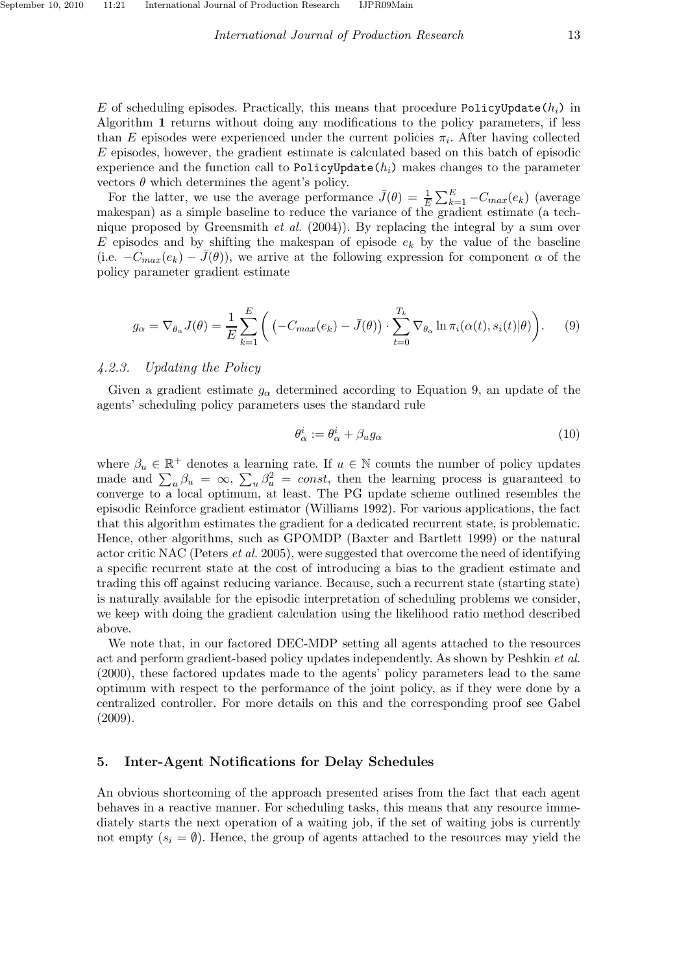E of scheduling episodes. Practically, this means that procedure PolicyUpdate( $h_i$ ) in Algorithm 1 returns without doing any modifications to the policy parameters, if less than E episodes were experienced under the current policies  $\pi_i$ . After having collected E episodes, however, the gradient estimate is calculated based on this batch of episodic experience and the function call to PolicyUpdate $(h_i)$  makes changes to the parameter vectors  $\theta$  which determines the agent's policy.

For the latter, we use the average performance  $\bar{J}(\theta) = \frac{1}{E} \sum_{k=1}^{E} -C_{max}(e_k)$  (average makespan) as a simple baseline to reduce the variance of the gradient estimate (a technique proposed by Greensmith *et al.* (2004)). By replacing the integral by a sum over E episodes and by shifting the makespan of episode  $e_k$  by the value of the baseline (i.e.  $-C_{max}(e_k) - J(\theta)$ ), we arrive at the following expression for component  $\alpha$  of the policy parameter gradient estimate

$$
g_{\alpha} = \nabla_{\theta_{\alpha}} J(\theta) = \frac{1}{E} \sum_{k=1}^{E} \left( \left( -C_{max}(e_k) - \bar{J}(\theta) \right) \cdot \sum_{t=0}^{T_k} \nabla_{\theta_{\alpha}} \ln \pi_i(\alpha(t), s_i(t)|\theta) \right). \tag{9}
$$

# *4.2.3. Updating the Policy*

Given a gradient estimate  $g_{\alpha}$  determined according to Equation 9, an update of the agents' scheduling policy parameters uses the standard rule

$$
\theta_{\alpha}^{i} := \theta_{\alpha}^{i} + \beta_{u} g_{\alpha} \tag{10}
$$

where  $\beta_u \in \mathbb{R}^+$  denotes a learning rate. If  $u \in \mathbb{N}$  counts the number of policy updates made and  $\sum_{u} \beta_u = \infty$ ,  $\sum_{u} \beta_u^2 = const$ , then the learning process is guaranteed to converge to a local optimum, at least. The PG update scheme outlined resembles the episodic Reinforce gradient estimator (Williams 1992). For various applications, the fact that this algorithm estimates the gradient for a dedicated recurrent state, is problematic. Hence, other algorithms, such as GPOMDP (Baxter and Bartlett 1999) or the natural actor critic NAC (Peters *et al.* 2005), were suggested that overcome the need of identifying a specific recurrent state at the cost of introducing a bias to the gradient estimate and trading this off against reducing variance. Because, such a recurrent state (starting state) is naturally available for the episodic interpretation of scheduling problems we consider, we keep with doing the gradient calculation using the likelihood ratio method described above.

We note that, in our factored DEC-MDP setting all agents attached to the resources act and perform gradient-based policy updates independently. As shown by Peshkin *et al.* (2000), these factored updates made to the agents' policy parameters lead to the same optimum with respect to the performance of the joint policy, as if they were done by a centralized controller. For more details on this and the corresponding proof see Gabel (2009).

# 5. Inter-Agent Notifications for Delay Schedules

An obvious shortcoming of the approach presented arises from the fact that each agent behaves in a reactive manner. For scheduling tasks, this means that any resource immediately starts the next operation of a waiting job, if the set of waiting jobs is currently not empty  $(s_i = \emptyset)$ . Hence, the group of agents attached to the resources may yield the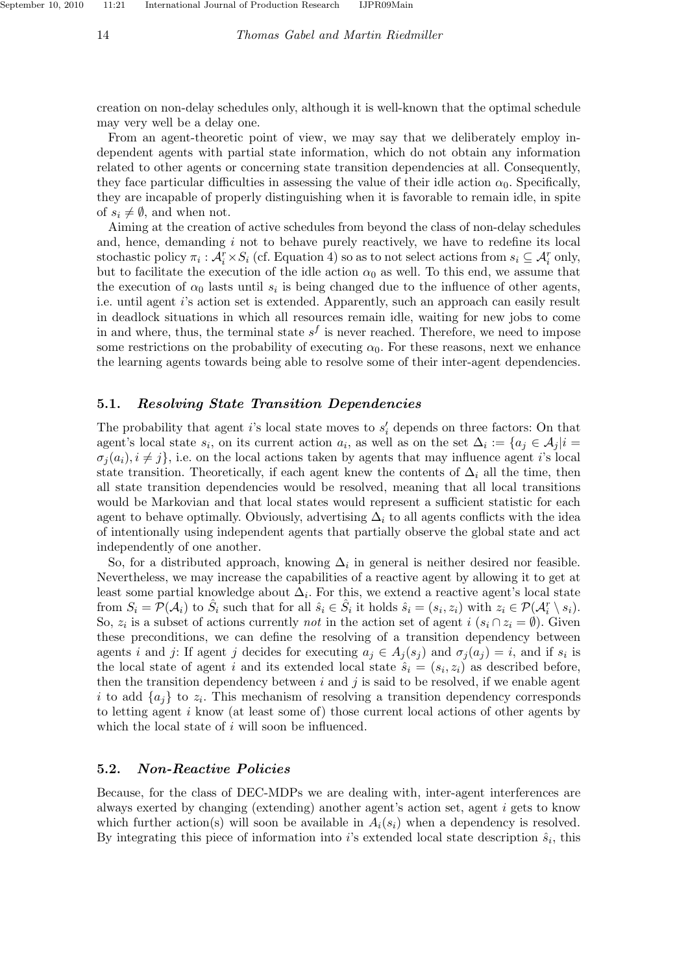creation on non-delay schedules only, although it is well-known that the optimal schedule may very well be a delay one.

From an agent-theoretic point of view, we may say that we deliberately employ independent agents with partial state information, which do not obtain any information related to other agents or concerning state transition dependencies at all. Consequently, they face particular difficulties in assessing the value of their idle action  $\alpha_0$ . Specifically, they are incapable of properly distinguishing when it is favorable to remain idle, in spite of  $s_i \neq \emptyset$ , and when not.

Aiming at the creation of active schedules from beyond the class of non-delay schedules and, hence, demanding  $i$  not to behave purely reactively, we have to redefine its local stochastic policy  $\pi_i$ :  $\mathcal{A}_i^r \times S_i$  (cf. Equation 4) so as to not select actions from  $s_i \subseteq \mathcal{A}_i^r$  only, but to facilitate the execution of the idle action  $\alpha_0$  as well. To this end, we assume that the execution of  $\alpha_0$  lasts until  $s_i$  is being changed due to the influence of other agents, i.e. until agent i's action set is extended. Apparently, such an approach can easily result in deadlock situations in which all resources remain idle, waiting for new jobs to come in and where, thus, the terminal state  $s^f$  is never reached. Therefore, we need to impose some restrictions on the probability of executing  $\alpha_0$ . For these reasons, next we enhance the learning agents towards being able to resolve some of their inter-agent dependencies.

#### 5.1. Resolving State Transition Dependencies

The probability that agent *i*'s local state moves to  $s'_{i}$  depends on three factors: On that agent's local state  $s_i$ , on its current action  $a_i$ , as well as on the set  $\Delta_i := \{a_j \in A_j | i =$  $\sigma_i(a_i), i \neq j$ , i.e. on the local actions taken by agents that may influence agent i's local state transition. Theoretically, if each agent knew the contents of  $\Delta_i$  all the time, then all state transition dependencies would be resolved, meaning that all local transitions would be Markovian and that local states would represent a sufficient statistic for each agent to behave optimally. Obviously, advertising  $\Delta_i$  to all agents conflicts with the idea of intentionally using independent agents that partially observe the global state and act independently of one another.

So, for a distributed approach, knowing  $\Delta_i$  in general is neither desired nor feasible. Nevertheless, we may increase the capabilities of a reactive agent by allowing it to get at least some partial knowledge about  $\Delta_i$ . For this, we extend a reactive agent's local state from  $S_i = \mathcal{P}(\mathcal{A}_i)$  to  $\hat{S}_i$  such that for all  $\hat{s}_i \in \hat{S}_i$  it holds  $\hat{s}_i = (s_i, z_i)$  with  $z_i \in \mathcal{P}(\mathcal{A}_i^r \setminus s_i)$ . So,  $z_i$  is a subset of actions currently *not* in the action set of agent  $i$  ( $s_i \cap z_i = \emptyset$ ). Given these preconditions, we can define the resolving of a transition dependency between agents i and j: If agent j decides for executing  $a_j \in A_j(s_j)$  and  $\sigma_j(a_j) = i$ , and if  $s_i$  is the local state of agent i and its extended local state  $\hat{s}_i = (s_i, z_i)$  as described before, then the transition dependency between  $i$  and  $j$  is said to be resolved, if we enable agent i to add  $\{a_j\}$  to  $z_i$ . This mechanism of resolving a transition dependency corresponds to letting agent i know (at least some of) those current local actions of other agents by which the local state of i will soon be influenced.

#### 5.2. Non-Reactive Policies

Because, for the class of DEC-MDPs we are dealing with, inter-agent interferences are always exerted by changing (extending) another agent's action set, agent i gets to know which further action(s) will soon be available in  $A_i(s_i)$  when a dependency is resolved. By integrating this piece of information into i's extended local state description  $\hat{s}_i$ , this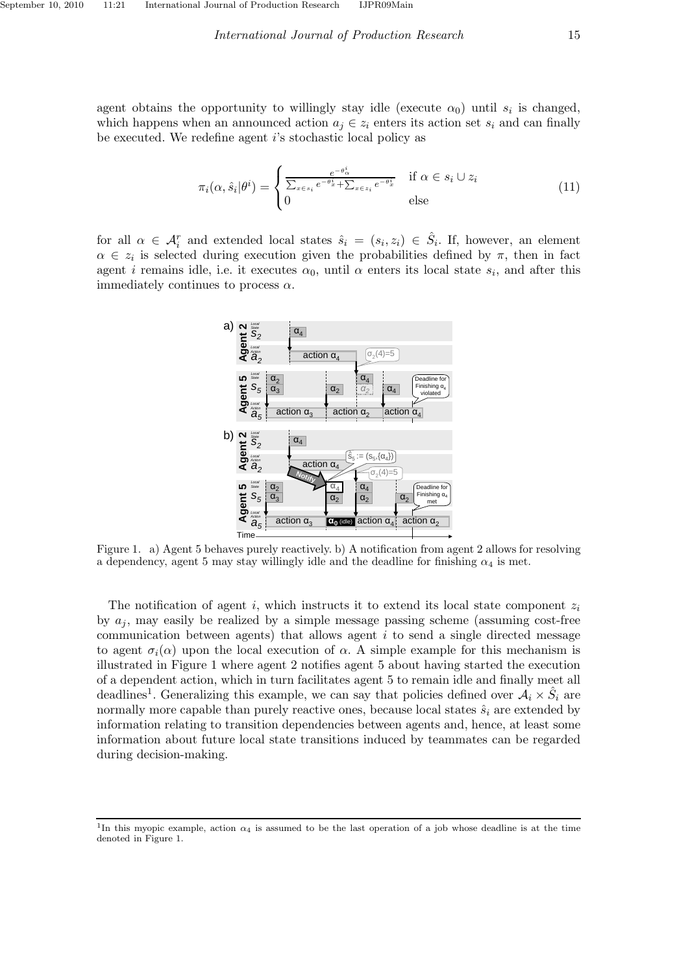agent obtains the opportunity to willingly stay idle (execute  $\alpha_0$ ) until  $s_i$  is changed, which happens when an announced action  $a_i \in z_i$  enters its action set  $s_i$  and can finally be executed. We redefine agent i's stochastic local policy as

$$
\pi_i(\alpha, \hat{s}_i | \theta^i) = \begin{cases} \frac{e^{-\theta_{\alpha}^i}}{\sum_{x \in s_i} e^{-\theta_x^i} + \sum_{x \in z_i} e^{-\theta_x^i}} & \text{if } \alpha \in s_i \cup z_i \\ 0 & \text{else} \end{cases}
$$
(11)

for all  $\alpha \in \mathcal{A}_i^r$  and extended local states  $\hat{s}_i = (s_i, z_i) \in \hat{S}_i$ . If, however, an element  $\alpha \in z_i$  is selected during execution given the probabilities defined by  $\pi$ , then in fact agent *i* remains idle, i.e. it executes  $\alpha_0$ , until  $\alpha$  enters its local state  $s_i$ , and after this immediately continues to process  $\alpha$ .



Figure 1. a) Agent 5 behaves purely reactively. b) A notification from agent 2 allows for resolving a dependency, agent 5 may stay willingly idle and the deadline for finishing  $\alpha_4$  is met.

The notification of agent i, which instructs it to extend its local state component  $z_i$ by  $a_i$ , may easily be realized by a simple message passing scheme (assuming cost-free communication between agents) that allows agent i to send a single directed message to agent  $\sigma_i(\alpha)$  upon the local execution of  $\alpha$ . A simple example for this mechanism is illustrated in Figure 1 where agent 2 notifies agent 5 about having started the execution of a dependent action, which in turn facilitates agent 5 to remain idle and finally meet all deadlines<sup>1</sup>. Generalizing this example, we can say that policies defined over  $A_i \times \hat{S}_i$  are normally more capable than purely reactive ones, because local states  $\hat{s}_i$  are extended by information relating to transition dependencies between agents and, hence, at least some information about future local state transitions induced by teammates can be regarded during decision-making.

<sup>&</sup>lt;sup>1</sup>In this myopic example, action  $\alpha_4$  is assumed to be the last operation of a job whose deadline is at the time denoted in Figure 1.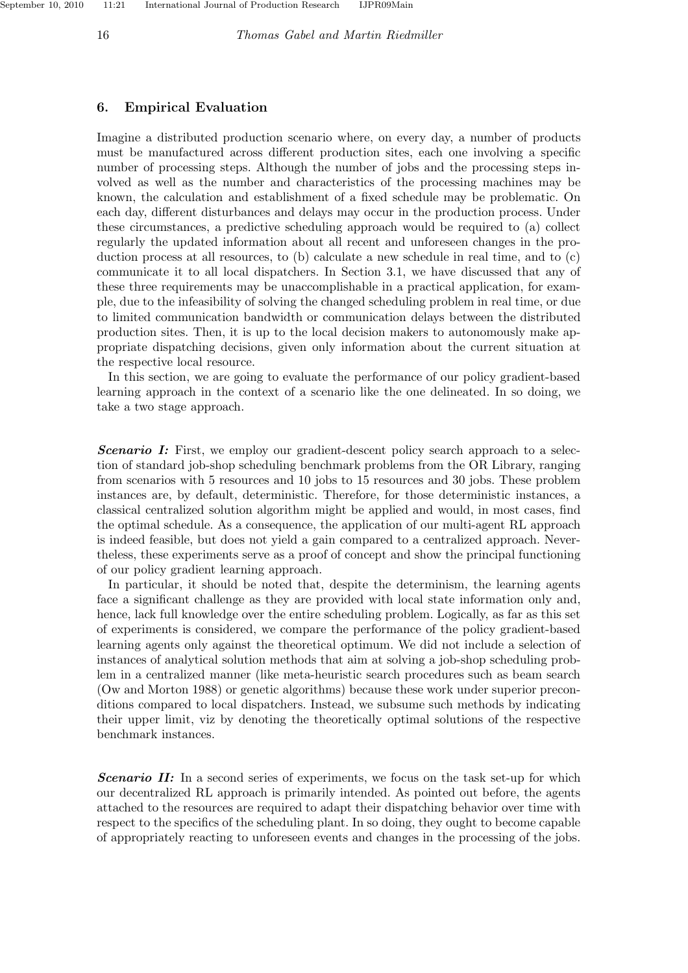September 10, 2010 11:21 International Journal of Production Research IJPR09Main

# 6. Empirical Evaluation

Imagine a distributed production scenario where, on every day, a number of products must be manufactured across different production sites, each one involving a specific number of processing steps. Although the number of jobs and the processing steps involved as well as the number and characteristics of the processing machines may be known, the calculation and establishment of a fixed schedule may be problematic. On each day, different disturbances and delays may occur in the production process. Under these circumstances, a predictive scheduling approach would be required to (a) collect regularly the updated information about all recent and unforeseen changes in the production process at all resources, to (b) calculate a new schedule in real time, and to (c) communicate it to all local dispatchers. In Section 3.1, we have discussed that any of these three requirements may be unaccomplishable in a practical application, for example, due to the infeasibility of solving the changed scheduling problem in real time, or due to limited communication bandwidth or communication delays between the distributed production sites. Then, it is up to the local decision makers to autonomously make appropriate dispatching decisions, given only information about the current situation at the respective local resource.

In this section, we are going to evaluate the performance of our policy gradient-based learning approach in the context of a scenario like the one delineated. In so doing, we take a two stage approach.

**Scenario I:** First, we employ our gradient-descent policy search approach to a selection of standard job-shop scheduling benchmark problems from the OR Library, ranging from scenarios with 5 resources and 10 jobs to 15 resources and 30 jobs. These problem instances are, by default, deterministic. Therefore, for those deterministic instances, a classical centralized solution algorithm might be applied and would, in most cases, find the optimal schedule. As a consequence, the application of our multi-agent RL approach is indeed feasible, but does not yield a gain compared to a centralized approach. Nevertheless, these experiments serve as a proof of concept and show the principal functioning of our policy gradient learning approach.

In particular, it should be noted that, despite the determinism, the learning agents face a significant challenge as they are provided with local state information only and, hence, lack full knowledge over the entire scheduling problem. Logically, as far as this set of experiments is considered, we compare the performance of the policy gradient-based learning agents only against the theoretical optimum. We did not include a selection of instances of analytical solution methods that aim at solving a job-shop scheduling problem in a centralized manner (like meta-heuristic search procedures such as beam search (Ow and Morton 1988) or genetic algorithms) because these work under superior preconditions compared to local dispatchers. Instead, we subsume such methods by indicating their upper limit, viz by denoting the theoretically optimal solutions of the respective benchmark instances.

**Scenario II:** In a second series of experiments, we focus on the task set-up for which our decentralized RL approach is primarily intended. As pointed out before, the agents attached to the resources are required to adapt their dispatching behavior over time with respect to the specifics of the scheduling plant. In so doing, they ought to become capable of appropriately reacting to unforeseen events and changes in the processing of the jobs.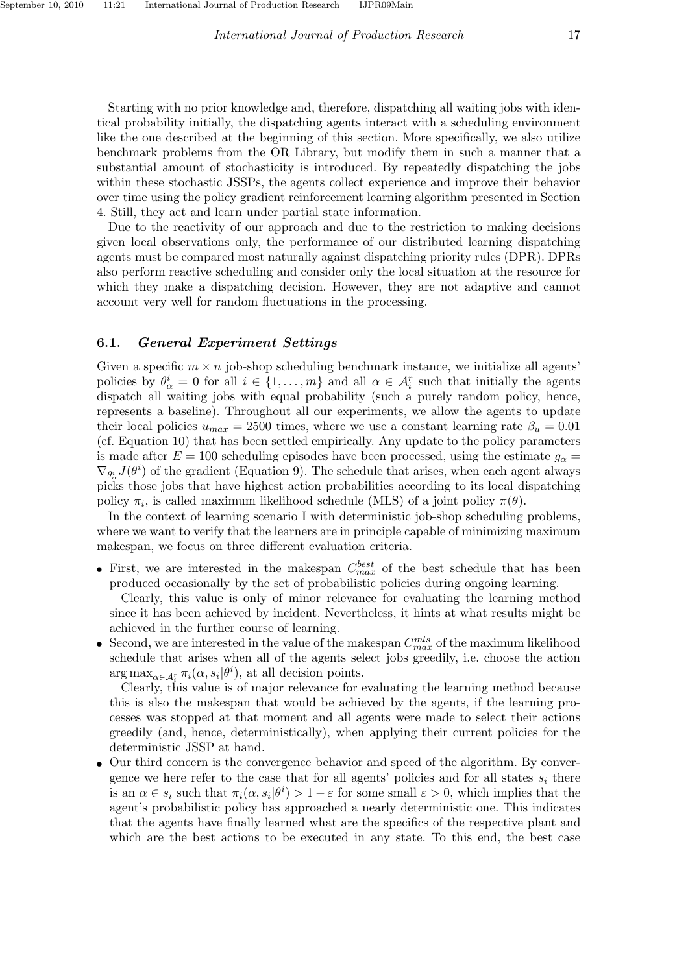Starting with no prior knowledge and, therefore, dispatching all waiting jobs with identical probability initially, the dispatching agents interact with a scheduling environment like the one described at the beginning of this section. More specifically, we also utilize benchmark problems from the OR Library, but modify them in such a manner that a substantial amount of stochasticity is introduced. By repeatedly dispatching the jobs within these stochastic JSSPs, the agents collect experience and improve their behavior over time using the policy gradient reinforcement learning algorithm presented in Section 4. Still, they act and learn under partial state information.

Due to the reactivity of our approach and due to the restriction to making decisions given local observations only, the performance of our distributed learning dispatching agents must be compared most naturally against dispatching priority rules (DPR). DPRs also perform reactive scheduling and consider only the local situation at the resource for which they make a dispatching decision. However, they are not adaptive and cannot account very well for random fluctuations in the processing.

### 6.1. General Experiment Settings

Given a specific  $m \times n$  job-shop scheduling benchmark instance, we initialize all agents' policies by  $\theta^i_\alpha = 0$  for all  $i \in \{1, ..., m\}$  and all  $\alpha \in \mathcal{A}_i^r$  such that initially the agents dispatch all waiting jobs with equal probability (such a purely random policy, hence, represents a baseline). Throughout all our experiments, we allow the agents to update their local policies  $u_{max} = 2500$  times, where we use a constant learning rate  $\beta_u = 0.01$ (cf. Equation 10) that has been settled empirically. Any update to the policy parameters is made after  $E = 100$  scheduling episodes have been processed, using the estimate  $g_{\alpha} =$  $\nabla_{\theta^i_{\alpha}} J(\theta^i)$  of the gradient (Equation 9). The schedule that arises, when each agent always picks those jobs that have highest action probabilities according to its local dispatching policy  $\pi_i$ , is called maximum likelihood schedule (MLS) of a joint policy  $\pi(\theta)$ .

In the context of learning scenario I with deterministic job-shop scheduling problems, where we want to verify that the learners are in principle capable of minimizing maximum makespan, we focus on three different evaluation criteria.

• First, we are interested in the makespan  $C_{max}^{best}$  of the best schedule that has been produced occasionally by the set of probabilistic policies during ongoing learning.

Clearly, this value is only of minor relevance for evaluating the learning method since it has been achieved by incident. Nevertheless, it hints at what results might be achieved in the further course of learning.

• Second, we are interested in the value of the makespan  $C_{max}^{mls}$  of the maximum likelihood schedule that arises when all of the agents select jobs greedily, i.e. choose the action  $\arg \max_{\alpha \in A_i^r} \pi_i(\alpha, s_i | \theta^i)$ , at all decision points.

Clearly, this value is of major relevance for evaluating the learning method because this is also the makespan that would be achieved by the agents, if the learning processes was stopped at that moment and all agents were made to select their actions greedily (and, hence, deterministically), when applying their current policies for the deterministic JSSP at hand.

• Our third concern is the convergence behavior and speed of the algorithm. By convergence we here refer to the case that for all agents' policies and for all states  $s_i$  there is an  $\alpha \in s_i$  such that  $\pi_i(\alpha, s_i | \theta^i) > 1 - \varepsilon$  for some small  $\varepsilon > 0$ , which implies that the agent's probabilistic policy has approached a nearly deterministic one. This indicates that the agents have finally learned what are the specifics of the respective plant and which are the best actions to be executed in any state. To this end, the best case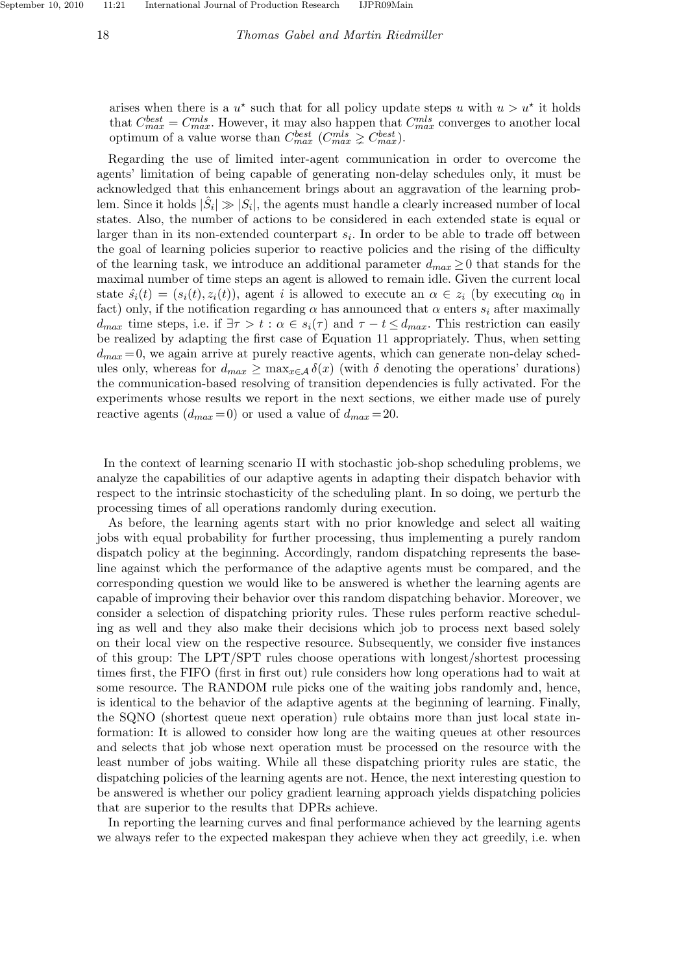arises when there is a  $u^*$  such that for all policy update steps u with  $u > u^*$  it holds that  $C_{max}^{best} = C_{max}^{mls}$ . However, it may also happen that  $C_{max}^{mls}$  converges to another local optimum of a value worse than  $C_{max}^{best}$  ( $C_{max}^{mls} \ge C_{max}^{best}$ ).

Regarding the use of limited inter-agent communication in order to overcome the agents' limitation of being capable of generating non-delay schedules only, it must be acknowledged that this enhancement brings about an aggravation of the learning problem. Since it holds  $|\hat{S}_i| \gg |S_i|$ , the agents must handle a clearly increased number of local states. Also, the number of actions to be considered in each extended state is equal or larger than in its non-extended counterpart  $s_i$ . In order to be able to trade off between the goal of learning policies superior to reactive policies and the rising of the difficulty of the learning task, we introduce an additional parameter  $d_{max} \geq 0$  that stands for the maximal number of time steps an agent is allowed to remain idle. Given the current local state  $\hat{s_i}(t) = (s_i(t), z_i(t))$ , agent i is allowed to execute an  $\alpha \in z_i$  (by executing  $\alpha_0$  in fact) only, if the notification regarding  $\alpha$  has announced that  $\alpha$  enters  $s_i$  after maximally  $d_{max}$  time steps, i.e. if  $\exists \tau > t : \alpha \in s_i(\tau)$  and  $\tau - t \leq d_{max}$ . This restriction can easily be realized by adapting the first case of Equation 11 appropriately. Thus, when setting  $d_{max} = 0$ , we again arrive at purely reactive agents, which can generate non-delay schedules only, whereas for  $d_{max} \ge \max_{x \in A} \delta(x)$  (with  $\delta$  denoting the operations' durations) the communication-based resolving of transition dependencies is fully activated. For the experiments whose results we report in the next sections, we either made use of purely reactive agents  $(d_{max}=0)$  or used a value of  $d_{max}=20$ .

In the context of learning scenario II with stochastic job-shop scheduling problems, we analyze the capabilities of our adaptive agents in adapting their dispatch behavior with respect to the intrinsic stochasticity of the scheduling plant. In so doing, we perturb the processing times of all operations randomly during execution.

As before, the learning agents start with no prior knowledge and select all waiting jobs with equal probability for further processing, thus implementing a purely random dispatch policy at the beginning. Accordingly, random dispatching represents the baseline against which the performance of the adaptive agents must be compared, and the corresponding question we would like to be answered is whether the learning agents are capable of improving their behavior over this random dispatching behavior. Moreover, we consider a selection of dispatching priority rules. These rules perform reactive scheduling as well and they also make their decisions which job to process next based solely on their local view on the respective resource. Subsequently, we consider five instances of this group: The LPT/SPT rules choose operations with longest/shortest processing times first, the FIFO (first in first out) rule considers how long operations had to wait at some resource. The RANDOM rule picks one of the waiting jobs randomly and, hence, is identical to the behavior of the adaptive agents at the beginning of learning. Finally, the SQNO (shortest queue next operation) rule obtains more than just local state information: It is allowed to consider how long are the waiting queues at other resources and selects that job whose next operation must be processed on the resource with the least number of jobs waiting. While all these dispatching priority rules are static, the dispatching policies of the learning agents are not. Hence, the next interesting question to be answered is whether our policy gradient learning approach yields dispatching policies that are superior to the results that DPRs achieve.

In reporting the learning curves and final performance achieved by the learning agents we always refer to the expected makespan they achieve when they act greedily, i.e. when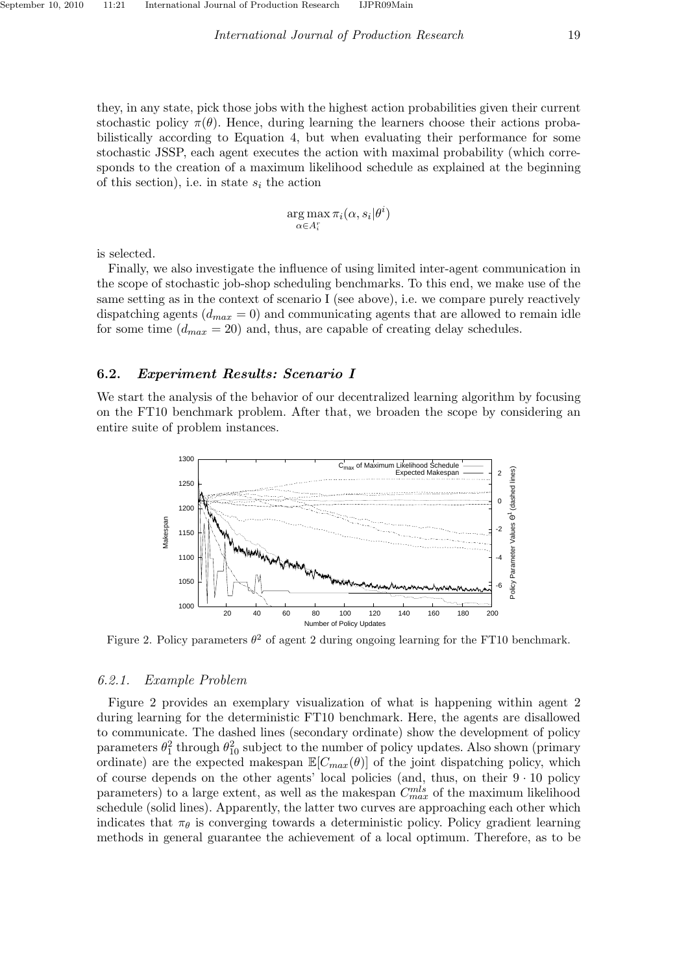$$
\argmax_{\alpha \in A_i^r} \pi_i(\alpha, s_i | \theta^i)
$$

is selected.

Finally, we also investigate the influence of using limited inter-agent communication in the scope of stochastic job-shop scheduling benchmarks. To this end, we make use of the same setting as in the context of scenario I (see above), i.e. we compare purely reactively dispatching agents  $(d_{max} = 0)$  and communicating agents that are allowed to remain idle for some time  $(d_{max} = 20)$  and, thus, are capable of creating delay schedules.

# 6.2. Experiment Results: Scenario I

We start the analysis of the behavior of our decentralized learning algorithm by focusing on the FT10 benchmark problem. After that, we broaden the scope by considering an entire suite of problem instances.



Figure 2. Policy parameters  $\theta^2$  of agent 2 during ongoing learning for the FT10 benchmark.

#### *6.2.1. Example Problem*

Figure 2 provides an exemplary visualization of what is happening within agent 2 during learning for the deterministic FT10 benchmark. Here, the agents are disallowed to communicate. The dashed lines (secondary ordinate) show the development of policy parameters  $\theta_1^2$  through  $\theta_{10}^2$  subject to the number of policy updates. Also shown (primary ordinate) are the expected makespan  $\mathbb{E}[C_{max}(\theta)]$  of the joint dispatching policy, which of course depends on the other agents' local policies (and, thus, on their  $9 \cdot 10$  policy parameters) to a large extent, as well as the makespan  $C_{max}^{mls}$  of the maximum likelihood schedule (solid lines). Apparently, the latter two curves are approaching each other which indicates that  $\pi_{\theta}$  is converging towards a deterministic policy. Policy gradient learning methods in general guarantee the achievement of a local optimum. Therefore, as to be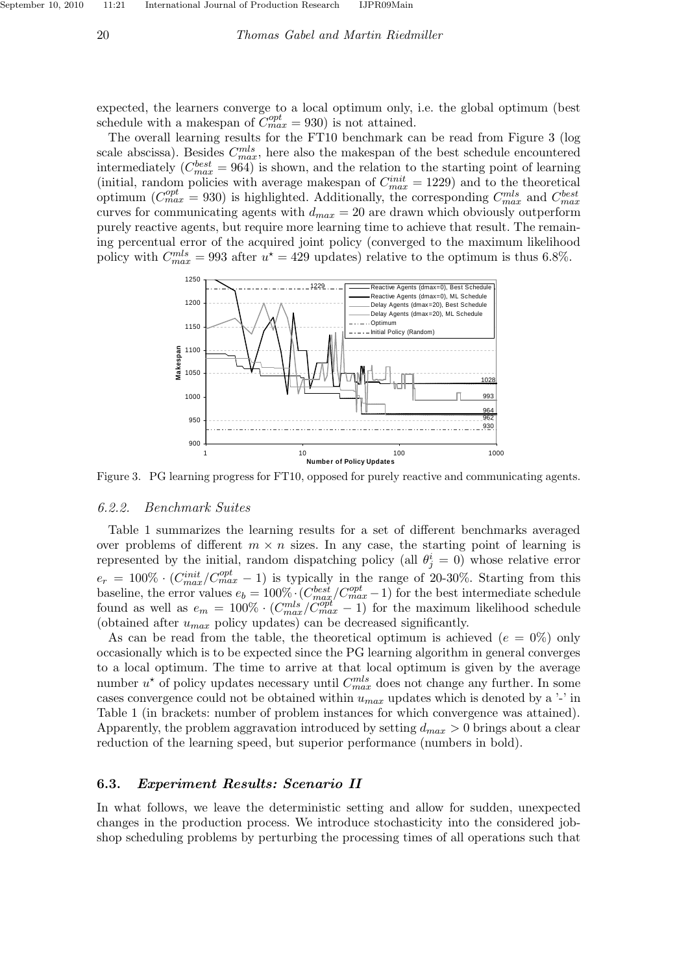expected, the learners converge to a local optimum only, i.e. the global optimum (best schedule with a makespan of  $\tilde{C}_{max}^{opt} = 930$ ) is not attained.

The overall learning results for the FT10 benchmark can be read from Figure 3 (log scale abscissa). Besides  $C_{max}^{mls}$ , here also the makespan of the best schedule encountered intermediately  $(C_{max}^{best} = 964)$  is shown, and the relation to the starting point of learning (initial, random policies with average makespan of  $C_{max}^{init} = 1229$ ) and to the theoretical optimum ( $C_{max}^{opt} = 930$ ) is highlighted. Additionally, the corresponding  $C_{max}^{mls}$  and  $C_{max}^{best}$ curves for communicating agents with  $d_{max} = 20$  are drawn which obviously outperform purely reactive agents, but require more learning time to achieve that result. The remaining percentual error of the acquired joint policy (converged to the maximum likelihood policy with  $C_{max}^{mls} = 993$  after  $u^* = 429$  updates) relative to the optimum is thus 6.8%.



Figure 3. PG learning progress for FT10, opposed for purely reactive and communicating agents.

#### *6.2.2. Benchmark Suites*

Table 1 summarizes the learning results for a set of different benchmarks averaged over problems of different  $m \times n$  sizes. In any case, the starting point of learning is represented by the initial, random dispatching policy (all  $\theta_j^i = 0$ ) whose relative error  $e_r = 100\% \cdot (C_{max}^{init}/C_{max}^{opt} - 1)$  is typically in the range of 20-30%. Starting from this baseline, the error values  $e_b = 100\% \cdot (C_{max}^{best}/C_{max}^{opt} - 1)$  for the best intermediate schedule found as well as  $e_m = 100\% \cdot (C_{max}^{mls}/C_{max}^{out} - 1)$  for the maximum likelihood schedule (obtained after  $u_{max}$  policy updates) can be decreased significantly.

As can be read from the table, the theoretical optimum is achieved  $(e = 0\%)$  only occasionally which is to be expected since the PG learning algorithm in general converges to a local optimum. The time to arrive at that local optimum is given by the average number  $u^*$  of policy updates necessary until  $C_{max}^{mls}$  does not change any further. In some cases convergence could not be obtained within  $u_{max}$  updates which is denoted by a '-' in Table 1 (in brackets: number of problem instances for which convergence was attained). Apparently, the problem aggravation introduced by setting  $d_{max} > 0$  brings about a clear reduction of the learning speed, but superior performance (numbers in bold).

#### 6.3. Experiment Results: Scenario II

In what follows, we leave the deterministic setting and allow for sudden, unexpected changes in the production process. We introduce stochasticity into the considered jobshop scheduling problems by perturbing the processing times of all operations such that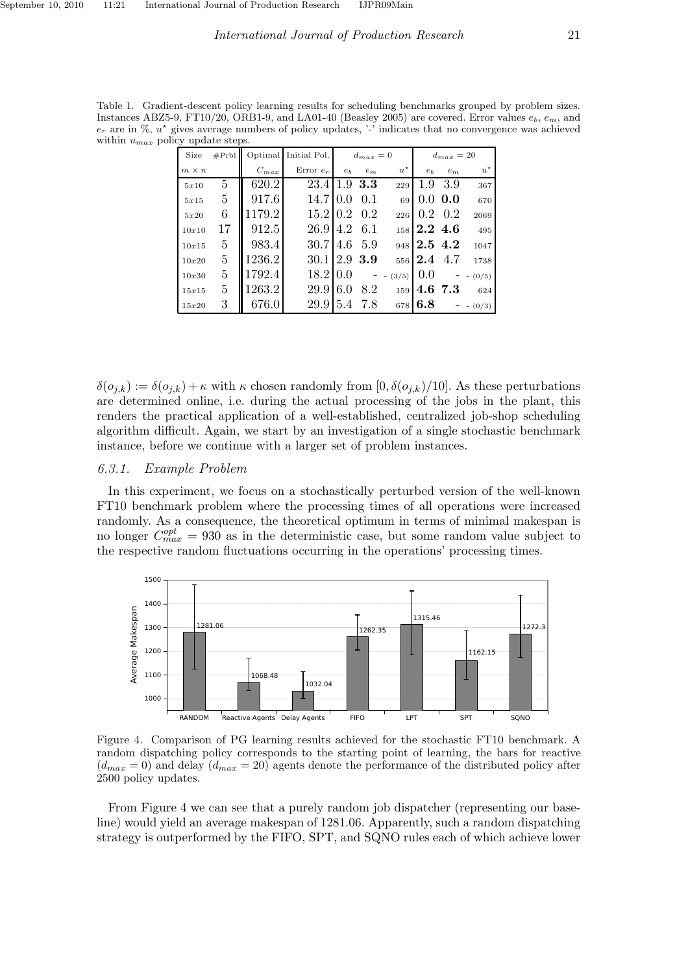Table 1. Gradient-descent policy learning results for scheduling benchmarks grouped by problem sizes. Instances ABZ5-9, FT10/20, ORB1-9, and LA01-40 (Beasley 2005) are covered. Error values  $e_b$ ,  $e_m$ , and  $e_r$  are in %,  $u^*$  gives average numbers of policy updates, '-' indicates that no convergence was achieved within  $u_{max}$  policy update steps.

| Size         | #Prbl |           | Optimal Initial Pol. | $d_{max}=0$    |           |             | $d_{max}=20$   |                 |             |
|--------------|-------|-----------|----------------------|----------------|-----------|-------------|----------------|-----------------|-------------|
| $m \times n$ |       | $C_{max}$ | Error $e_r$          | e <sub>b</sub> | $e_m$     | $u^{\star}$ | e <sub>b</sub> | $e_m$           | $u^{\star}$ |
| 5x10         | 5.    | 620.2     | 23.4                 |                | $1.9$ 3.3 | 229         | 1.9            | -3.9            | 367         |
| 5x15         | 5     | 917.6     | 14.710.0             |                | 0.1       | 69          |                | $0.0\;0.0$      | 670         |
| 5x20         | 6     | 1179.2    | $15.2\,10.2\,0.2$    |                |           | 226         |                | $0.2 \quad 0.2$ | 2069        |
| 10x10        | 17    | 912.5     | 26.9                 | 4.2 6.1        |           |             | $158$ 2.2 4.6  |                 | 495         |
| 10x15        | 5     | 983.4     | 30.7                 | 4.6            | -5.9      | 948         | 2.5 4.2        |                 | 1047        |
| 10x20        | 5     | 1236.2    | 30.112.9 3.9         |                |           | 556         | 12.4 4.7       |                 | 1738        |
| 10x30        | 5     | 1792.4    | 18.210.0             |                |           | $- (3/5)$   | 0.0            |                 | $- (0/5)$   |
| 15x15        | 5     | 1263.2    | 29.9                 | 6.0            | 8.2       | 159         | 4.6 7.3        |                 | 624         |
| 15x20        | 3     | 676.0     | 29.9                 | 5.4            | 7.8       | 678         | 6.8            |                 | $- (0/3)$   |

 $\delta(o_{j,k}) := \delta(o_{j,k}) + \kappa$  with  $\kappa$  chosen randomly from  $[0, \delta(o_{j,k})/10]$ . As these perturbations are determined online, i.e. during the actual processing of the jobs in the plant, this renders the practical application of a well-established, centralized job-shop scheduling algorithm difficult. Again, we start by an investigation of a single stochastic benchmark instance, before we continue with a larger set of problem instances.

## *6.3.1. Example Problem*

In this experiment, we focus on a stochastically perturbed version of the well-known FT10 benchmark problem where the processing times of all operations were increased randomly. As a consequence, the theoretical optimum in terms of minimal makespan is no longer  $C_{max}^{opt} = 930$  as in the deterministic case, but some random value subject to the respective random fluctuations occurring in the operations' processing times.



Figure 4. Comparison of PG learning results achieved for the stochastic FT10 benchmark. A random dispatching policy corresponds to the starting point of learning, the bars for reactive  $(d_{max} = 0)$  and delay  $(d_{max} = 20)$  agents denote the performance of the distributed policy after 2500 policy updates.

From Figure 4 we can see that a purely random job dispatcher (representing our baseline) would yield an average makespan of 1281.06. Apparently, such a random dispatching strategy is outperformed by the FIFO, SPT, and SQNO rules each of which achieve lower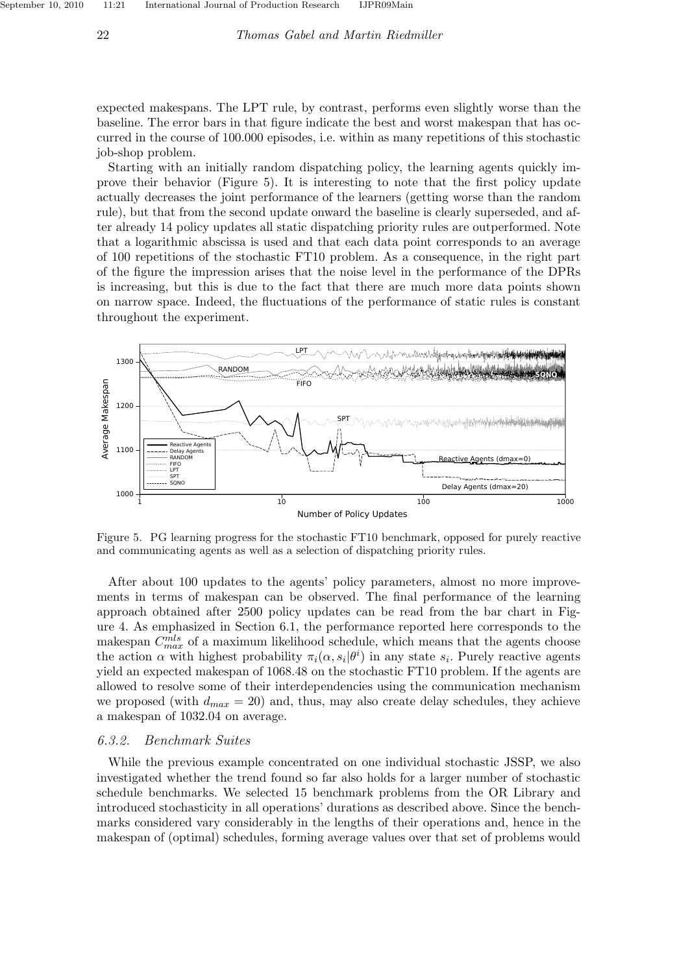expected makespans. The LPT rule, by contrast, performs even slightly worse than the baseline. The error bars in that figure indicate the best and worst makespan that has occurred in the course of 100.000 episodes, i.e. within as many repetitions of this stochastic job-shop problem.

Starting with an initially random dispatching policy, the learning agents quickly improve their behavior (Figure 5). It is interesting to note that the first policy update actually decreases the joint performance of the learners (getting worse than the random rule), but that from the second update onward the baseline is clearly superseded, and after already 14 policy updates all static dispatching priority rules are outperformed. Note that a logarithmic abscissa is used and that each data point corresponds to an average of 100 repetitions of the stochastic FT10 problem. As a consequence, in the right part of the figure the impression arises that the noise level in the performance of the DPRs is increasing, but this is due to the fact that there are much more data points shown on narrow space. Indeed, the fluctuations of the performance of static rules is constant throughout the experiment.



Figure 5. PG learning progress for the stochastic FT10 benchmark, opposed for purely reactive and communicating agents as well as a selection of dispatching priority rules.

After about 100 updates to the agents' policy parameters, almost no more improvements in terms of makespan can be observed. The final performance of the learning approach obtained after 2500 policy updates can be read from the bar chart in Figure 4. As emphasized in Section 6.1, the performance reported here corresponds to the makespan  $C_{max}^{mls}$  of a maximum likelihood schedule, which means that the agents choose the action  $\alpha$  with highest probability  $\pi_i(\alpha, s_i | \theta^i)$  in any state  $s_i$ . Purely reactive agents yield an expected makespan of 1068.48 on the stochastic FT10 problem. If the agents are allowed to resolve some of their interdependencies using the communication mechanism we proposed (with  $d_{max} = 20$ ) and, thus, may also create delay schedules, they achieve a makespan of 1032.04 on average.

## *6.3.2. Benchmark Suites*

While the previous example concentrated on one individual stochastic JSSP, we also investigated whether the trend found so far also holds for a larger number of stochastic schedule benchmarks. We selected 15 benchmark problems from the OR Library and introduced stochasticity in all operations' durations as described above. Since the benchmarks considered vary considerably in the lengths of their operations and, hence in the makespan of (optimal) schedules, forming average values over that set of problems would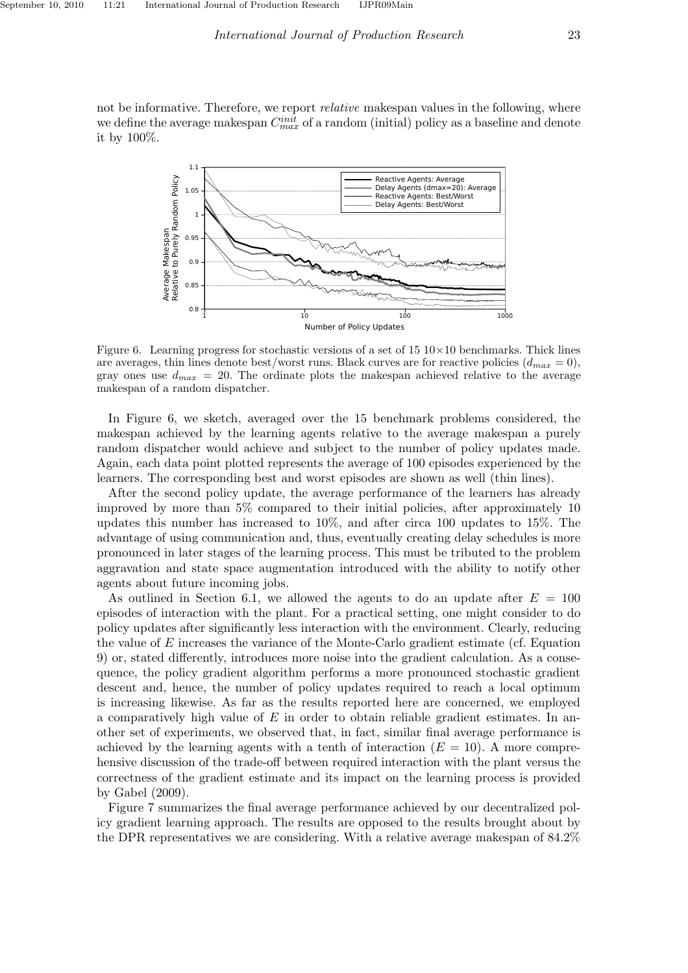not be informative. Therefore, we report *relative* makespan values in the following, where we define the average makespan  $C_{max}^{init}$  of a random (initial) policy as a baseline and denote it by 100%.



Figure 6. Learning progress for stochastic versions of a set of  $15 \frac{10 \times 10}{20}$  benchmarks. Thick lines are averages, thin lines denote best/worst runs. Black curves are for reactive policies  $(d_{max} = 0)$ , gray ones use  $d_{max} = 20$ . The ordinate plots the makespan achieved relative to the average makespan of a random dispatcher.

In Figure 6, we sketch, averaged over the 15 benchmark problems considered, the makespan achieved by the learning agents relative to the average makespan a purely random dispatcher would achieve and subject to the number of policy updates made. Again, each data point plotted represents the average of 100 episodes experienced by the learners. The corresponding best and worst episodes are shown as well (thin lines).

After the second policy update, the average performance of the learners has already improved by more than 5% compared to their initial policies, after approximately 10 updates this number has increased to 10%, and after circa 100 updates to 15%. The advantage of using communication and, thus, eventually creating delay schedules is more pronounced in later stages of the learning process. This must be tributed to the problem aggravation and state space augmentation introduced with the ability to notify other agents about future incoming jobs.

As outlined in Section 6.1, we allowed the agents to do an update after  $E = 100$ episodes of interaction with the plant. For a practical setting, one might consider to do policy updates after significantly less interaction with the environment. Clearly, reducing the value of E increases the variance of the Monte-Carlo gradient estimate (cf. Equation 9) or, stated differently, introduces more noise into the gradient calculation. As a consequence, the policy gradient algorithm performs a more pronounced stochastic gradient descent and, hence, the number of policy updates required to reach a local optimum is increasing likewise. As far as the results reported here are concerned, we employed a comparatively high value of  $E$  in order to obtain reliable gradient estimates. In another set of experiments, we observed that, in fact, similar final average performance is achieved by the learning agents with a tenth of interaction  $(E = 10)$ . A more comprehensive discussion of the trade-off between required interaction with the plant versus the correctness of the gradient estimate and its impact on the learning process is provided by Gabel (2009).

Figure 7 summarizes the final average performance achieved by our decentralized policy gradient learning approach. The results are opposed to the results brought about by the DPR representatives we are considering. With a relative average makespan of 84.2%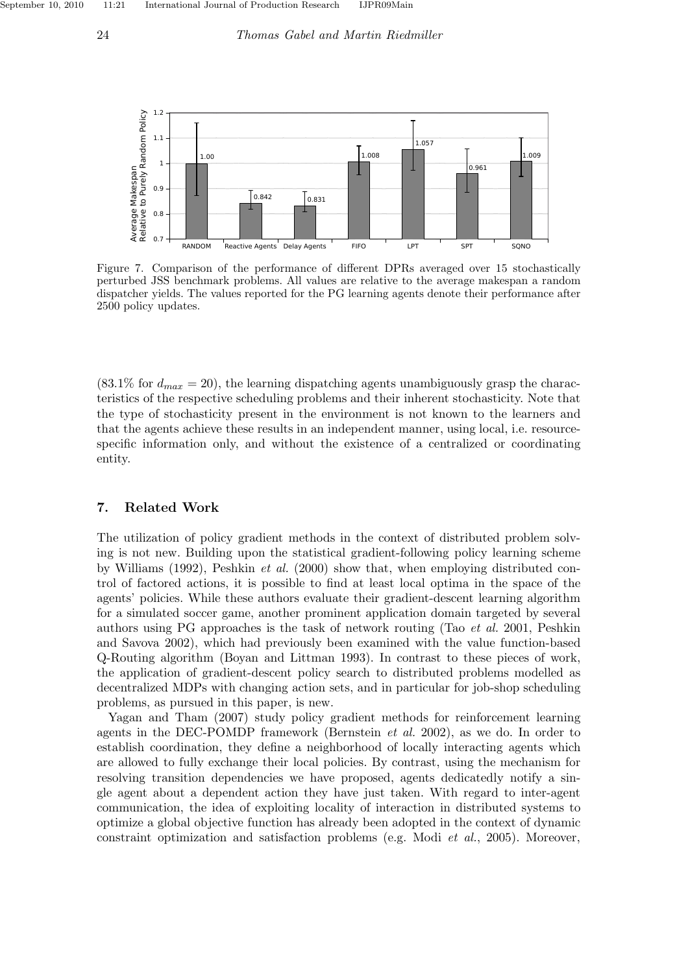

Figure 7. Comparison of the performance of different DPRs averaged over 15 stochastically perturbed JSS benchmark problems. All values are relative to the average makespan a random dispatcher yields. The values reported for the PG learning agents denote their performance after 2500 policy updates.

 $(83.1\%$  for  $d_{max} = 20$ , the learning dispatching agents unambiguously grasp the characteristics of the respective scheduling problems and their inherent stochasticity. Note that the type of stochasticity present in the environment is not known to the learners and that the agents achieve these results in an independent manner, using local, i.e. resourcespecific information only, and without the existence of a centralized or coordinating entity.

# 7. Related Work

The utilization of policy gradient methods in the context of distributed problem solving is not new. Building upon the statistical gradient-following policy learning scheme by Williams (1992), Peshkin *et al.* (2000) show that, when employing distributed control of factored actions, it is possible to find at least local optima in the space of the agents' policies. While these authors evaluate their gradient-descent learning algorithm for a simulated soccer game, another prominent application domain targeted by several authors using PG approaches is the task of network routing (Tao *et al.* 2001, Peshkin and Savova 2002), which had previously been examined with the value function-based Q-Routing algorithm (Boyan and Littman 1993). In contrast to these pieces of work, the application of gradient-descent policy search to distributed problems modelled as decentralized MDPs with changing action sets, and in particular for job-shop scheduling problems, as pursued in this paper, is new.

Yagan and Tham (2007) study policy gradient methods for reinforcement learning agents in the DEC-POMDP framework (Bernstein *et al.* 2002), as we do. In order to establish coordination, they define a neighborhood of locally interacting agents which are allowed to fully exchange their local policies. By contrast, using the mechanism for resolving transition dependencies we have proposed, agents dedicatedly notify a single agent about a dependent action they have just taken. With regard to inter-agent communication, the idea of exploiting locality of interaction in distributed systems to optimize a global objective function has already been adopted in the context of dynamic constraint optimization and satisfaction problems (e.g. Modi *et al.*, 2005). Moreover,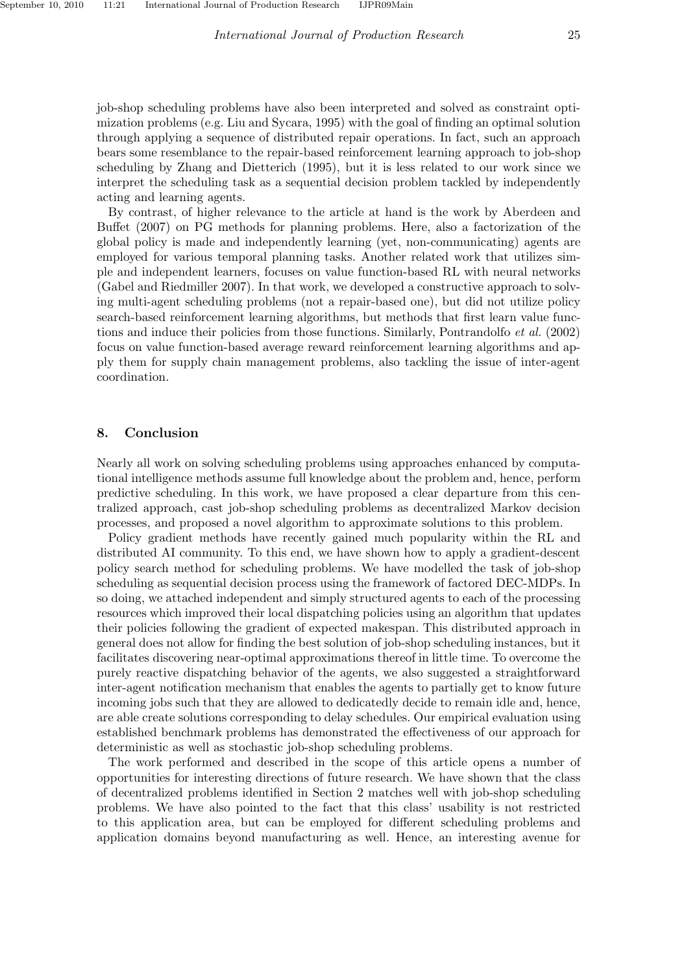job-shop scheduling problems have also been interpreted and solved as constraint optimization problems (e.g. Liu and Sycara, 1995) with the goal of finding an optimal solution through applying a sequence of distributed repair operations. In fact, such an approach bears some resemblance to the repair-based reinforcement learning approach to job-shop scheduling by Zhang and Dietterich (1995), but it is less related to our work since we interpret the scheduling task as a sequential decision problem tackled by independently acting and learning agents.

By contrast, of higher relevance to the article at hand is the work by Aberdeen and Buffet (2007) on PG methods for planning problems. Here, also a factorization of the global policy is made and independently learning (yet, non-communicating) agents are employed for various temporal planning tasks. Another related work that utilizes simple and independent learners, focuses on value function-based RL with neural networks (Gabel and Riedmiller 2007). In that work, we developed a constructive approach to solving multi-agent scheduling problems (not a repair-based one), but did not utilize policy search-based reinforcement learning algorithms, but methods that first learn value functions and induce their policies from those functions. Similarly, Pontrandolfo *et al.* (2002) focus on value function-based average reward reinforcement learning algorithms and apply them for supply chain management problems, also tackling the issue of inter-agent coordination.

#### 8. Conclusion

Nearly all work on solving scheduling problems using approaches enhanced by computational intelligence methods assume full knowledge about the problem and, hence, perform predictive scheduling. In this work, we have proposed a clear departure from this centralized approach, cast job-shop scheduling problems as decentralized Markov decision processes, and proposed a novel algorithm to approximate solutions to this problem.

Policy gradient methods have recently gained much popularity within the RL and distributed AI community. To this end, we have shown how to apply a gradient-descent policy search method for scheduling problems. We have modelled the task of job-shop scheduling as sequential decision process using the framework of factored DEC-MDPs. In so doing, we attached independent and simply structured agents to each of the processing resources which improved their local dispatching policies using an algorithm that updates their policies following the gradient of expected makespan. This distributed approach in general does not allow for finding the best solution of job-shop scheduling instances, but it facilitates discovering near-optimal approximations thereof in little time. To overcome the purely reactive dispatching behavior of the agents, we also suggested a straightforward inter-agent notification mechanism that enables the agents to partially get to know future incoming jobs such that they are allowed to dedicatedly decide to remain idle and, hence, are able create solutions corresponding to delay schedules. Our empirical evaluation using established benchmark problems has demonstrated the effectiveness of our approach for deterministic as well as stochastic job-shop scheduling problems.

The work performed and described in the scope of this article opens a number of opportunities for interesting directions of future research. We have shown that the class of decentralized problems identified in Section 2 matches well with job-shop scheduling problems. We have also pointed to the fact that this class' usability is not restricted to this application area, but can be employed for different scheduling problems and application domains beyond manufacturing as well. Hence, an interesting avenue for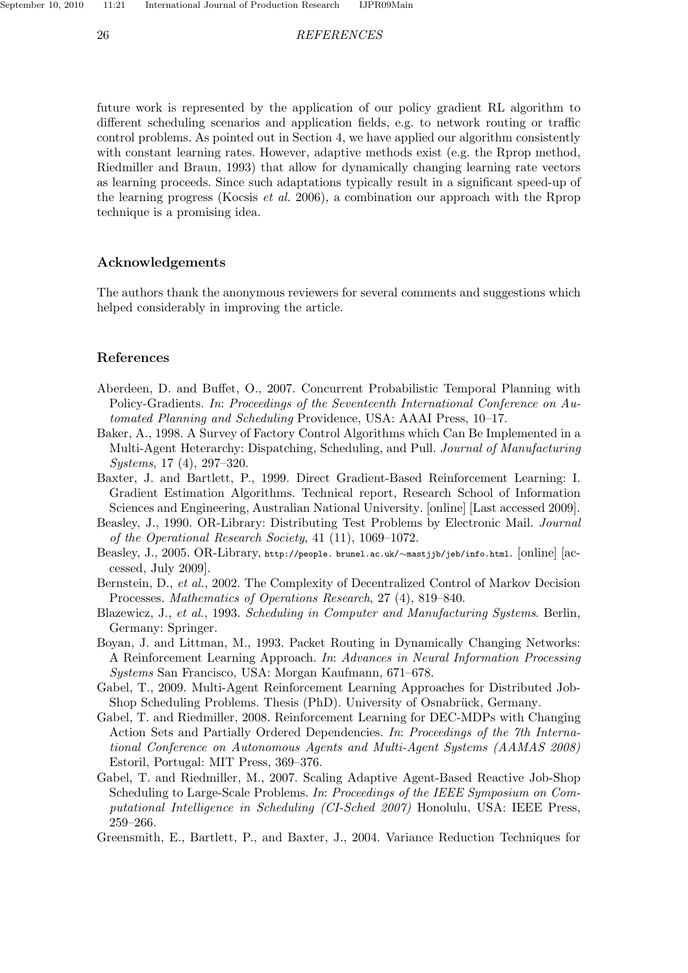#### 26 *REFERENCES*

future work is represented by the application of our policy gradient RL algorithm to different scheduling scenarios and application fields, e.g. to network routing or traffic control problems. As pointed out in Section 4, we have applied our algorithm consistently with constant learning rates. However, adaptive methods exist (e.g. the Rprop method, Riedmiller and Braun, 1993) that allow for dynamically changing learning rate vectors as learning proceeds. Since such adaptations typically result in a significant speed-up of the learning progress (Kocsis *et al.* 2006), a combination our approach with the Rprop technique is a promising idea.

# Acknowledgements

The authors thank the anonymous reviewers for several comments and suggestions which helped considerably in improving the article.

#### References

- Aberdeen, D. and Buffet, O., 2007. Concurrent Probabilistic Temporal Planning with Policy-Gradients. *In*: *Proceedings of the Seventeenth International Conference on Automated Planning and Scheduling* Providence, USA: AAAI Press, 10–17.
- Baker, A., 1998. A Survey of Factory Control Algorithms which Can Be Implemented in a Multi-Agent Heterarchy: Dispatching, Scheduling, and Pull. *Journal of Manufacturing Systems*, 17 (4), 297–320.
- Baxter, J. and Bartlett, P., 1999. Direct Gradient-Based Reinforcement Learning: I. Gradient Estimation Algorithms. Technical report, Research School of Information Sciences and Engineering, Australian National University. [online] [Last accessed 2009].
- Beasley, J., 1990. OR-Library: Distributing Test Problems by Electronic Mail. *Journal of the Operational Research Society*, 41 (11), 1069–1072.
- Beasley, J., 2005. OR-Library, http://people. brunel.ac.uk/∼mastjjb/jeb/info.html. [online] [accessed, July 2009].
- Bernstein, D., *et al.*, 2002. The Complexity of Decentralized Control of Markov Decision Processes. *Mathematics of Operations Research*, 27 (4), 819–840.
- Blazewicz, J., *et al.*, 1993. *Scheduling in Computer and Manufacturing Systems*. Berlin, Germany: Springer.
- Boyan, J. and Littman, M., 1993. Packet Routing in Dynamically Changing Networks: A Reinforcement Learning Approach. *In*: *Advances in Neural Information Processing Systems* San Francisco, USA: Morgan Kaufmann, 671–678.
- Gabel, T., 2009. Multi-Agent Reinforcement Learning Approaches for Distributed Job-Shop Scheduling Problems. Thesis (PhD). University of Osnabrück, Germany.
- Gabel, T. and Riedmiller, 2008. Reinforcement Learning for DEC-MDPs with Changing Action Sets and Partially Ordered Dependencies. *In*: *Proceedings of the 7th International Conference on Autonomous Agents and Multi-Agent Systems (AAMAS 2008)* Estoril, Portugal: MIT Press, 369–376.
- Gabel, T. and Riedmiller, M., 2007. Scaling Adaptive Agent-Based Reactive Job-Shop Scheduling to Large-Scale Problems. *In*: *Proceedings of the IEEE Symposium on Computational Intelligence in Scheduling (CI-Sched 2007)* Honolulu, USA: IEEE Press, 259–266.

Greensmith, E., Bartlett, P., and Baxter, J., 2004. Variance Reduction Techniques for